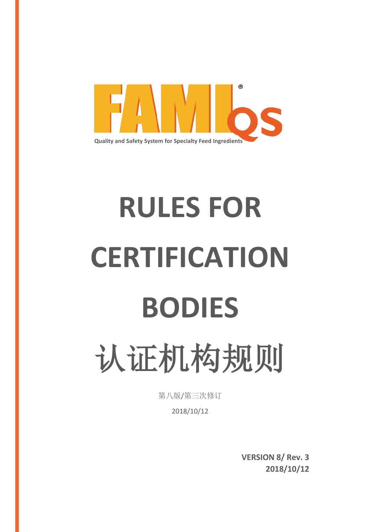

# **RULES FOR CERTIFICATION BODIES**  认证机构规则

第八版/第三次修订

2018/10/12

**VERSION 8/ Rev. 3 2018/10/12**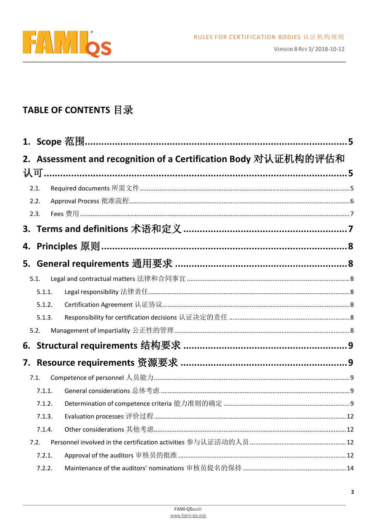

# TABLE OF CONTENTS 目录

|        | 2. Assessment and recognition of a Certification Body 对认证机构的评估和           |    |
|--------|---------------------------------------------------------------------------|----|
| 2.1.   |                                                                           |    |
| 2.2.   |                                                                           |    |
| 2.3.   |                                                                           |    |
|        | 3. Terms and definitions 术语和定义 ………………………………………………………7                     |    |
| 4.     | Principles 原则……………………………………………………………………………………………8                         |    |
|        | 5. General requirements 通用要求 ………………………………………………………8                       |    |
| 5.1.   | Legal and contractual matters 法律和合同事宜 …………………………………………………………………………………………8 |    |
| 5.1.1. |                                                                           |    |
| 5.1.2. |                                                                           |    |
| 5.1.3. |                                                                           |    |
| 5.2.   |                                                                           |    |
| 6.     |                                                                           |    |
| 7.     |                                                                           |    |
| 7.1.   |                                                                           |    |
| 7.1.1. |                                                                           |    |
| 7.1.2. |                                                                           |    |
| 7.1.3. |                                                                           | 12 |
| 7.1.4. |                                                                           |    |
| 7.2.   |                                                                           |    |
| 7.2.1. |                                                                           |    |
| 7.2.2. |                                                                           |    |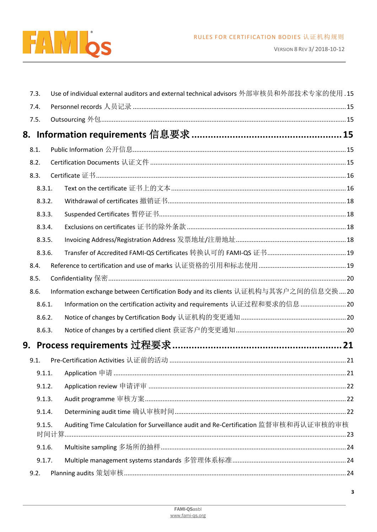

|    | 7.3.   | Use of individual external auditors and external technical advisors 外部审核员和外部技术专家的使用.15 |  |
|----|--------|----------------------------------------------------------------------------------------|--|
|    | 7.4.   |                                                                                        |  |
|    | 7.5.   |                                                                                        |  |
|    |        |                                                                                        |  |
|    | 8.1.   |                                                                                        |  |
|    | 8.2.   |                                                                                        |  |
|    | 8.3.   |                                                                                        |  |
|    | 8.3.1. | Text on the certificate 证书上的文本 ………………………………………………………………………………………… 16                   |  |
|    | 8.3.2. |                                                                                        |  |
|    | 8.3.3. |                                                                                        |  |
|    | 8.3.4. |                                                                                        |  |
|    | 8.3.5. |                                                                                        |  |
|    | 8.3.6. |                                                                                        |  |
|    | 8.4.   |                                                                                        |  |
|    | 8.5.   |                                                                                        |  |
|    | 8.6.   | Information exchange between Certification Body and its clients 认证机构与其客户之间的信息交换20      |  |
|    | 8.6.1. | Information on the certification activity and requirements 认证过程和要求的信息  20              |  |
|    | 8.6.2. |                                                                                        |  |
|    | 8.6.3. |                                                                                        |  |
| 9. |        |                                                                                        |  |
|    | 9.1.   |                                                                                        |  |
|    | 9.1.1. |                                                                                        |  |
|    | 9.1.2. |                                                                                        |  |
|    | 9.1.3. |                                                                                        |  |
|    | 9.1.4. |                                                                                        |  |
|    | 9.1.5. | Auditing Time Calculation for Surveillance audit and Re-Certification 监督审核和再认证审核的审核    |  |
|    | 9.1.6. |                                                                                        |  |
|    | 9.1.7. |                                                                                        |  |
|    | 9.2.   |                                                                                        |  |
|    |        |                                                                                        |  |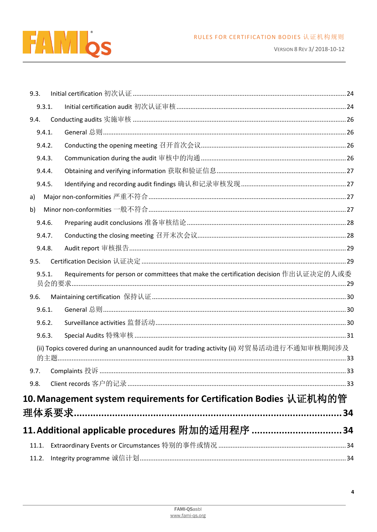

VERSION 8 REV 3/2018-10-12

| 9.3.   |                                                                                            |    |
|--------|--------------------------------------------------------------------------------------------|----|
| 9.3.1. |                                                                                            |    |
| 9.4.   |                                                                                            |    |
| 9.4.1. |                                                                                            |    |
| 9.4.2. |                                                                                            |    |
| 9.4.3. |                                                                                            |    |
| 9.4.4. |                                                                                            |    |
| 9.4.5. |                                                                                            |    |
| a)     |                                                                                            |    |
| b)     |                                                                                            |    |
| 9.4.6. |                                                                                            |    |
| 9.4.7. |                                                                                            |    |
| 9.4.8. |                                                                                            |    |
| 9.5.   |                                                                                            |    |
| 9.5.1. | Requirements for person or committees that make the certification decision 作出认证决定的人或委      |    |
|        |                                                                                            |    |
| 9.6.   |                                                                                            |    |
| 9.6.1. |                                                                                            |    |
| 9.6.2. |                                                                                            |    |
| 9.6.3. |                                                                                            |    |
|        | (ii) Topics covered during an unannounced audit for trading activity (ii) 对贸易活动进行不通知审核期间涉及 |    |
|        |                                                                                            |    |
| 9.8.   |                                                                                            |    |
|        | 10. Management system requirements for Certification Bodies 认证机构的管                         |    |
|        |                                                                                            |    |
|        |                                                                                            | 34 |
|        | 11. Additional applicable procedures 附加的适用程序 34                                            |    |
| 11.1.  | Extraordinary Events or Circumstances 特别的事件或情况 ………………………………………………………………………34               |    |
| 11.2.  |                                                                                            |    |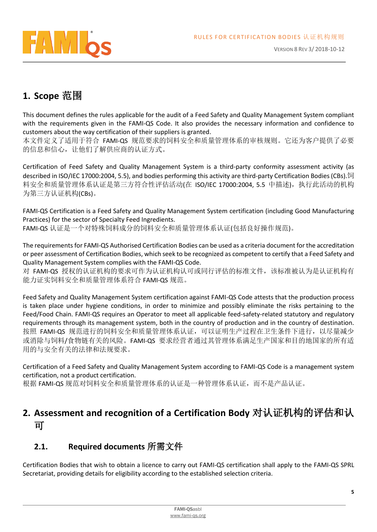

# <span id="page-4-0"></span>**1. Scope** 范围

This document defines the rules applicable for the audit of a Feed Safety and Quality Management System compliant with the requirements given in the FAMI-QS Code. It also provides the necessary information and confidence to customers about the way certification of their suppliers is granted.

本文件定义了适用于符合 FAMI-QS 规范要求的饲料安全和质量管理体系的审核规则。它还为客户提供了必要 的信息和信心,让他们了解供应商的认证方式。

Certification of Feed Safety and Quality Management System is a third-party conformity assessment activity (as described in ISO/IEC 17000:2004, 5.5), and bodies performing this activity are third-party Certification Bodies (CBs).饲 料安全和质量管理体系认证是第三方符合性评估活动(在 ISO/IEC 17000:2004, 5.5 中描述),执行此活动的机构 为第三方认证机构(CBs)。

FAMI-QS Certification is a Feed Safety and Quality Management System certification (including Good Manufacturing Practices) for the sector of Specialty Feed Ingredients.

FAMI-QS 认证是一个对特殊饲料成分的饲料安全和质量管理体系认证(包括良好操作规范)。

The requirements for FAMI-QS Authorised Certification Bodies can be used as a criteria document for the accreditation or peer assessment of Certification Bodies, which seek to be recognized as competent to certify that a Feed Safety and Quality Management System complies with the FAMI-QS Code.

对 FAMI-QS 授权的认证机构的要求可作为认证机构认可或同行评估的标准文件,该标准被认为是认证机构有 能力证实饲料安全和质量管理体系符合 FAMI-QS 规范。

Feed Safety and Quality Management System certification against FAMI-QS Code attests that the production process is taken place under hygiene conditions, in order to minimize and possibly eliminate the risks pertaining to the Feed/Food Chain. FAMI-QS requires an Operator to meet all applicable feed-safety-related statutory and regulatory requirements through its management system, both in the country of production and in the country of destination. 按照 FAMI-QS 规范进行的饲料安全和质量管理体系认证,可以证明生产过程在卫生条件下进行, 以尽量减少 或消除与饲料/食物链有关的风险。FAMI-QS 要求经营者通过其管理体系满足生产国家和目的地国家的所有适 用的与安全有关的法律和法规要求。

Certification of a Feed Safety and Quality Management System according to FAMI-QS Code is a management system certification, not a product certification.

根据 FAMI-QS 规范对饲料安全和质量管理体系的认证是一种管理体系认证,而不是产品认证。

# <span id="page-4-1"></span>**2. Assessment and recognition of a Certification Body** 对认证机构的评估和认 可

# <span id="page-4-2"></span>**2.1. Required documents** 所需文件

Certification Bodies that wish to obtain a licence to carry out FAMI-QS certification shall apply to the FAMI-QS SPRL Secretariat, providing details for eligibility according to the established selection criteria.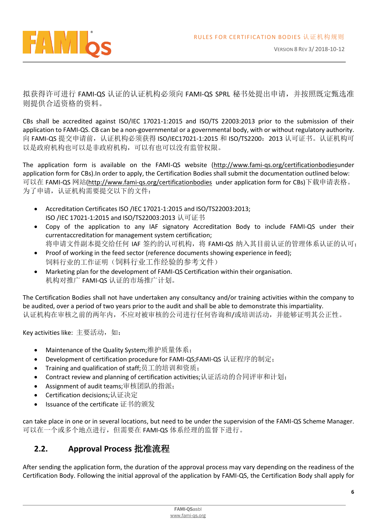

拟获得许可进行 FAMI-QS 认证的认证机构必须向 FAMI-QS SPRL 秘书处提出申请,并按照既定甄选准 则提供合适资格的资料。

CBs shall be accredited against ISO/IEC 17021-1:2015 and ISO/TS 22003:2013 prior to the submission of their application to FAMI-QS. CB can be a non-governmental or a governmental body, with or without regulatory authority. 向 FAMI-QS 提交申请前,认证机构必须获得 ISO/IEC17021-1:2015 和 ISO/TS2200: 2013 认可证书。认证机构可 以是政府机构也可以是非政府机构,可以有也可以没有监管权限。

The application form is available on the FAMI-QS website [\(http://www.fami-qs.org/certificationbodiesu](http://www.fami-qs.org/certificationbodies)nder application form for CBs).In order to apply, the Certification Bodies shall submit the documentation outlined below: 可以在 FAMI-QS 网站[\(http://www.fami-qs.org/certificationbodies](http://www.fami-qs.org/certificationbodies) under application form for CBs)下载申请表格。 为了申请,认证机构需要提交以下的文件:

- Accreditation Certificates ISO /IEC 17021-1:2015 and ISO/TS22003:2013; ISO /IEC 17021-1:2015 and ISO/TS22003:2013 认可证书
- Copy of the application to any IAF signatory Accreditation Body to include FAMI-QS under their currentaccreditation for management system certification; 将申请文件副本提交给任何 IAF 签约的认可机构, 将 FAMI-QS 纳入其目前认证的管理体系认证的认可;
- Proof of working in the feed sector (reference documents showing experience in feed); 饲料行业的工作证明(饲料行业工作经验的参考文件)
- Marketing plan for the development of FAMI-QS Certification within their organisation. 机构对推广 FAMI-QS 认证的市场推广计划。

The Certification Bodies shall not have undertaken any consultancy and/or training activities within the company to be audited, over a period of two years prior to the audit and shall be able to demonstrate this impartiality. 认证机构在审核之前的两年内,不应对被审核的公司进行任何咨询和/或培训活动,并能够证明其公正性。

Key activities like: 主要活动, 如:

- Maintenance of the Quality System;维护质量体系;
- Development of certification procedure for FAMI-QS;FAMI-QS 认证程序的制定;
- Training and qualification of staff;员工的培训和资质;
- Contract review and planning of certification activities;认证活动的合同评审和计划;
- Assignment of audit teams;审核团队的指派;
- Certification decisions;认证决定
- Issuance of the certificate 证书的颁发

can take place in one or in several locations, but need to be under the supervision of the FAMI-QS Scheme Manager. 可以在一个或多个地点进行,但需要在 FAMI-QS 体系经理的监督下进行。

## <span id="page-5-0"></span>**2.2. Approval Process** 批准流程

After sending the application form, the duration of the approval process may vary depending on the readiness of the Certification Body. Following the initial approval of the application by FAMI-QS, the Certification Body shall apply for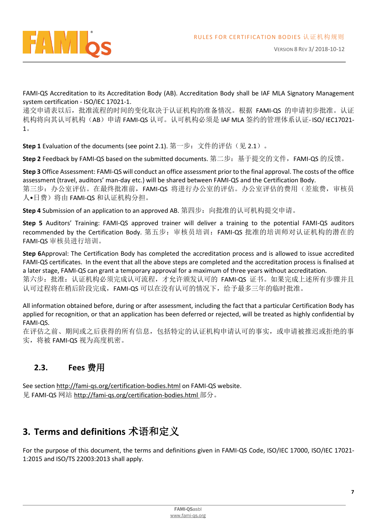

FAMI-QS Accreditation to its Accreditation Body (AB). Accreditation Body shall be IAF MLA Signatory Management system certification - ISO/IEC 17021-1.

递交申请表以后,批准流程的时间的变化取决于认证机构的准备情况。根据 FAMI-QS 的申请初步批准。认证 机构将向其认可机构(AB)申请 FAMI-QS 认可。认可机构必须是 IAF MLA 签约的管理体系认证- ISO/ IEC17021-1。

**Step 1** Evaluation of the documents (see point 2.1). 第一步: 文件的评估(见 2.1)。

**Step 2** Feedback by FAMI-QS based on the submitted documents. 第二步: 基于提交的文件, FAMI-QS 的反馈。

**Step 3** Office Assessment: FAMI-QS will conduct an office assessment prior to the final approval. The costs of the office assessment (travel, auditors' man-day etc.) will be shared between FAMI-QS and the Certification Body. 第三步: 办公室评估。在最终批准前, FAMI-QS 将进行办公室的评估。办公室评估的费用(差旅费, 审核员 人•日费)将由 FAMI-QS 和认证机构分担。

**Step 4** Submission of an application to an approved AB. 第四步: 向批准的认可机构提交申请。

**Step 5** Auditors' Training: FAMI-QS approved trainer will deliver a training to the potential FAMI-QS auditors recommended by the Certification Body. 第五步: 审核员培训: FAMI-QS 批准的培训师对认证机构的潜在的 FAMI-QS 审核员进行培训。

**Step 6**Approval: The Certification Body has completed the accreditation process and is allowed to issue accredited FAMI-QS certificates. In the event that all the above steps are completed and the accreditation process is finalised at a later stage, FAMI-QS can grant a temporary approval for a maximum of three years without accreditation.

第六步: 批准: 认证机构必须完成认可流程, 才允许颁发认可的 FAMI-QS 证书。如果完成上述所有步骤并且 认可过程将在稍后阶段完成,FAMI-QS 可以在没有认可的情况下,给予最多三年的临时批准。

All information obtained before, during or after assessment, including the fact that a particular Certification Body has applied for recognition, or that an application has been deferred or rejected, will be treated as highly confidential by FAMI-QS.

在评估之前、期间或之后获得的所有信息,包括特定的认证机构申请认可的事实,或申请被推迟或拒绝的事 实,将被 FAMI-QS 视为高度机密。

# <span id="page-6-0"></span>**2.3. Fees** 费用

See section<http://fami-qs.org/certification-bodies.html> on FAMI-QS website. 见 FAMI-QS 网站 <http://fami-qs.org/certification-bodies.html>部分。

# <span id="page-6-1"></span>**3. Terms and definitions** 术语和定义

For the purpose of this document, the terms and definitions given in FAMI-QS Code, ISO/IEC 17000, ISO/IEC 17021- 1:2015 and ISO/TS 22003:2013 shall apply.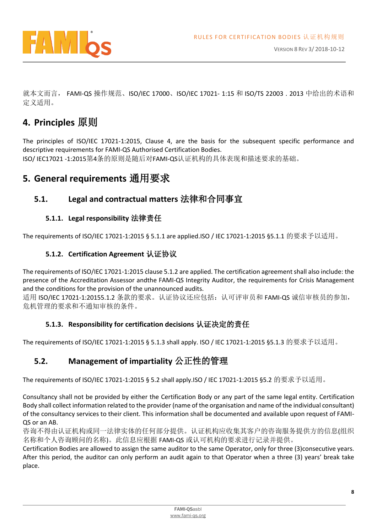

就本文而言, FAMI-QS 操作规范、ISO/IEC 17000、ISO/IEC 17021- 1:15 和 ISO/TS 22003 . 2013 中给出的术语和 定义适用。

# <span id="page-7-0"></span>**4. Principles** 原则

The principles of ISO/IEC 17021-1:2015, Clause 4, are the basis for the subsequent specific performance and descriptive requirements for FAMI-QS Authorised Certification Bodies. ISO/ IEC17021 -1:2015第4条的原则是随后对FAMI-QS认证机构的具体表现和描述要求的基础。

# <span id="page-7-1"></span>**5. General requirements** 通用要求

## <span id="page-7-2"></span>**5.1. Legal and contractual matters** 法律和合同事宜

#### **5.1.1. Legal responsibility** 法律责任

<span id="page-7-4"></span><span id="page-7-3"></span>The requirements of ISO/IEC 17021-1:2015 § 5.1.1 are applied.ISO / IEC 17021-1:2015 §5.1.1 的要求予以适用。

#### **5.1.2. Certification Agreement** 认证协议

The requirements of ISO/IEC 17021-1:2015 clause 5.1.2 are applied. The certification agreement shall also include: the presence of the Accreditation Assessor andthe FAMI-QS Integrity Auditor, the requirements for Crisis Management and the conditions for the provision of the unannounced audits.

适用 ISO/IEC 17021-1:20155.1.2 条款的要求。认证协议还应包括:认可评审员和 FAMI-QS 诚信审核员的参加, 危机管理的要求和不通知审核的条件。

#### **5.1.3. Responsibility for certification decisions** 认证决定的责任

<span id="page-7-5"></span>The requirements of ISO/IEC 17021-1:2015 § 5.1.3 shall apply. ISO / IEC 17021-1:2015 §5.1.3 的要求予以适用。

# <span id="page-7-6"></span>**5.2. Management of impartiality** 公正性的管理

The requirements of ISO/IEC 17021-1:2015 § 5.2 shall apply.ISO / IEC 17021-1:2015 §5.2 的要求予以适用。

Consultancy shall not be provided by either the Certification Body or any part of the same legal entity. Certification Body shall collect information related to the provider (name of the organisation and name of the individual consultant) of the consultancy services to their client. This information shall be documented and available upon request of FAMI-QS or an AB.

咨询不得由认证机构或同一法律实体的任何部分提供。认证机构应收集其客户的咨询服务提供方的信息(组织 名称和个人咨询顾问的名称)。此信息应根据 FAMI-QS 或认可机构的要求进行记录并提供。

Certification Bodies are allowed to assign the same auditor to the same Operator, only for three (3)consecutive years. After this period, the auditor can only perform an audit again to that Operator when a three (3) years' break take place.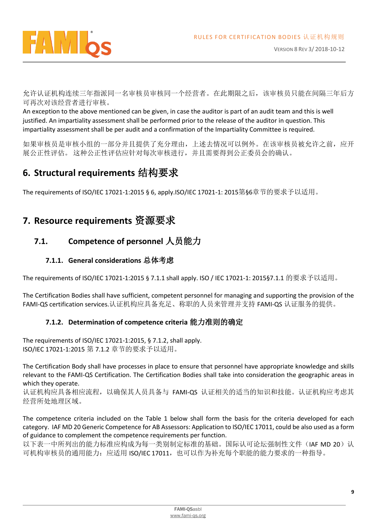

允许认证机构连续三年指派同一名审核员审核同一个经营者。在此期限之后,该审核员只能在间隔三年后方 可再次对该经营者进行审核。

An exception to the above mentioned can be given, in case the auditor is part of an audit team and this is well justified. An impartiality assessment shall be performed prior to the release of the auditor in question. This impartiality assessment shall be per audit and a confirmation of the Impartiality Committee is required.

如果审核员是审核小组的一部分并且提供了充分理由,上述去情况可以例外。在该审核员被允许之前,应开 展公正性评估。 这种公正性评估应针对每次审核进行,并且需要得到公正委员会的确认。

# <span id="page-8-0"></span>**6. Structural requirements** 结构要求

The requirements of ISO/IEC 17021-1:2015 § 6, apply.ISO/IEC 17021-1: 2015第§6章节的要求予以适用。

# <span id="page-8-1"></span>**7. Resource requirements** 资源要求

# <span id="page-8-2"></span>**7.1. Competence of personnel** 人员能力

#### **7.1.1. General considerations** 总体考虑

<span id="page-8-3"></span>The requirements of ISO/IEC 17021-1:2015 § 7.1.1 shall apply. ISO / IEC 17021-1: 2015§7.1.1 的要求予以适用。

The Certification Bodies shall have sufficient, competent personnel for managing and supporting the provision of the FAMI-QS certification services.认证机构应具备充足、称职的人员来管理并支持 FAMI-QS 认证服务的提供。

#### **7.1.2. Determination of competence criteria** 能力准则的确定

<span id="page-8-4"></span>The requirements of ISO/IEC 17021-1:2015, § 7.1.2, shall apply. ISO/IEC 17021-1:2015 第 7.1.2 章节的要求予以适用。

The Certification Body shall have processes in place to ensure that personnel have appropriate knowledge and skills relevant to the FAMI-QS Certification. The Certification Bodies shall take into consideration the geographic areas in which they operate.

认证机构应具备相应流程,以确保其人员具备与 FAMI-QS 认证相关的适当的知识和技能。认证机构应考虑其 经营所处地理区域。

The competence criteria included on the Table 1 below shall form the basis for the criteria developed for each category. IAF MD 20 Generic Competence for AB Assessors: Application to ISO/IEC 17011, could be also used as a form of guidance to complement the competence requirements per function.

以下表一中所列出的能力标准应构成为每一类别制定标准的基础。国际认可论坛强制性文件(IAF MD 20)认 可机构审核员的通用能力: 应适用 ISO/IEC 17011, 也可以作为补充每个职能的能力要求的一种指导。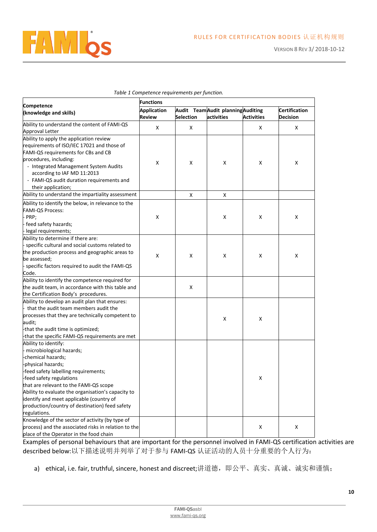

|                                                      | <b>Functions</b>                                         |                  |            |                   |                      |  |
|------------------------------------------------------|----------------------------------------------------------|------------------|------------|-------------------|----------------------|--|
| Competence<br>(knowledge and skills)                 | <b>Application</b><br>Audit Team Audit planning Auditing |                  |            |                   | <b>Certification</b> |  |
|                                                      | <b>Review</b>                                            | <b>Selection</b> | activities | <b>Activities</b> | <b>Decision</b>      |  |
| Ability to understand the content of FAMI-QS         |                                                          |                  |            |                   |                      |  |
| Approval Letter                                      | X                                                        | X                |            | x                 | X                    |  |
| Ability to apply the application review              |                                                          |                  |            |                   |                      |  |
| requirements of ISO/IEC 17021 and those of           |                                                          |                  |            |                   |                      |  |
| FAMI-QS requirements for CBs and CB                  |                                                          |                  |            |                   |                      |  |
| procedures, including:                               |                                                          |                  |            |                   |                      |  |
| - Integrated Management System Audits                | x                                                        | x                | X          | x                 | x                    |  |
| according to IAF MD 11:2013                          |                                                          |                  |            |                   |                      |  |
| - FAMI-QS audit duration requirements and            |                                                          |                  |            |                   |                      |  |
| their application;                                   |                                                          |                  |            |                   |                      |  |
| Ability to understand the impartiality assessment    |                                                          | X                | X          |                   |                      |  |
| Ability to identify the below, in relevance to the   |                                                          |                  |            |                   |                      |  |
| <b>FAMI-QS Process:</b>                              |                                                          |                  |            |                   |                      |  |
| - PRP;                                               | X                                                        |                  | Χ          | x                 | X                    |  |
| - feed safety hazards;                               |                                                          |                  |            |                   |                      |  |
| - legal requirements;                                |                                                          |                  |            |                   |                      |  |
| Ability to determine if there are:                   |                                                          |                  |            |                   |                      |  |
| - specific cultural and social customs related to    |                                                          |                  |            |                   |                      |  |
| the production process and geographic areas to       |                                                          |                  |            |                   |                      |  |
| be assessed;                                         | X                                                        | X                | X          | X                 | X                    |  |
| - specific factors required to audit the FAMI-QS     |                                                          |                  |            |                   |                      |  |
| Code.                                                |                                                          |                  |            |                   |                      |  |
| Ability to identify the competence required for      |                                                          |                  |            |                   |                      |  |
| the audit team, in accordance with this table and    |                                                          | X                |            |                   |                      |  |
| the Certification Body's procedures.                 |                                                          |                  |            |                   |                      |  |
| Ability to develop an audit plan that ensures:       |                                                          |                  |            |                   |                      |  |
| that the audit team members audit the                |                                                          |                  |            |                   |                      |  |
| processes that they are technically competent to     |                                                          |                  | Χ          | x                 |                      |  |
| audit;                                               |                                                          |                  |            |                   |                      |  |
| -that the audit time is optimized;                   |                                                          |                  |            |                   |                      |  |
| -that the specific FAMI-QS requirements are met      |                                                          |                  |            |                   |                      |  |
| Ability to identify:                                 |                                                          |                  |            |                   |                      |  |
| - microbiological hazards;                           |                                                          |                  |            |                   |                      |  |
| -chemical hazards;                                   |                                                          |                  |            |                   |                      |  |
| -physical hazards;                                   |                                                          |                  |            |                   |                      |  |
| -feed safety labelling requirements;                 |                                                          |                  |            |                   |                      |  |
| -feed safety regulations                             |                                                          |                  |            | X                 |                      |  |
| that are relevant to the FAMI-QS scope               |                                                          |                  |            |                   |                      |  |
| Ability to evaluate the organisation's capacity to   |                                                          |                  |            |                   |                      |  |
| identify and meet applicable (country of             |                                                          |                  |            |                   |                      |  |
| production/country of destination) feed safety       |                                                          |                  |            |                   |                      |  |
| regulations.                                         |                                                          |                  |            |                   |                      |  |
| Knowledge of the sector of activity (by type of      |                                                          |                  |            |                   |                      |  |
| process) and the associated risks in relation to the |                                                          |                  |            | X                 | x                    |  |
| place of the Operator in the food chain              |                                                          |                  |            |                   |                      |  |

#### *Table 1 Competence requirements per function.*

Examples of personal behaviours that are important for the personnel involved in FAMI-QS certification activities are described below:以下描述说明并列举了对于参与 FAMI-QS 认证活动的人员十分重要的个人行为:

a) ethical, i.e. fair, truthful, sincere, honest and discreet;讲道德,即公平、真实、真诚、诚实和谨慎;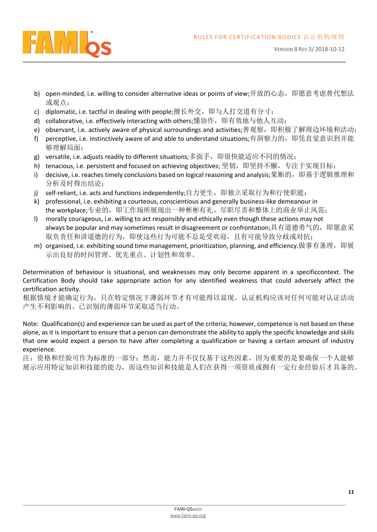

- b) open-minded, i.e. willing to consider alternative ideas or points of view;开放的心态,即愿意考虑替代想法 或观点;
- c) diplomatic, i.e. tactful in dealing with people;擅长外交,即与人打交道有分寸;
- d) collaborative, i.e. effectively interacting with others;懂协作, 即有效地与他人互动;
- e) observant, i.e. actively aware of physical surroundings and activities;善观察,即积极了解周边环境和活动;
- f) perceptive, i.e. instinctively aware of and able to understand situations;有洞察力的,即凭直觉意识到并能 够理解局面;
- g) versatile, i.e. adjusts readily to different situations;多面手,即很快能适应不同的情况;
- h) tenacious, i.e. persistent and focused on achieving objectives; 坚韧,即坚持不懈,专注于实现目标;
- i) decisive, i.e. reaches timely conclusions based on logical reasoning and analysis;果断的,即基于逻辑推理和 分析及时得出结论;
- j) self-reliant, i.e. acts and functions independently;自力更生,即独立采取行为和行使职能;
- k) professional, i.e. exhibiting a courteous, conscientious and generally business-like demeanour in the workplace;专业的, 即工作场所展现出一种彬彬有礼、尽职尽责和整体上的商业举止风范;
- l) morally courageous, i.e. willing to act responsibly and ethically even though these actions may not always be popular and may sometimes result in disagreement or confrontation;具有道德勇气的,即愿意采 取负责任和讲道德的行为,即使这些行为可能不总是受欢迎,且有可能导致分歧或对抗;
- m) organised, i.e. exhibiting sound time management, prioritization, planning, and efficiency.做事有条理,即展 示出良好的时间管理、优先重点、计划性和效率。

Determination of behaviour is situational, and weaknesses may only become apparent in a specificcontext. The Certification Body should take appropriate action for any identified weakness that could adversely affect the certification activity.

根据情境才能确定行为,只在特定情况下薄弱环节才有可能得以显现。认证机构应该对任何可能对认证活动 产生不利影响的、已识别的薄弱环节采取适当行动。

Note: Qualification(s) and experience can be used as part of the criteria; however, competence is not based on these alone, as it is important to ensure that a person can demonstrate the ability to apply the specific knowledge and skills that one would expect a person to have after completing a qualification or having a certain amount of industry experience.

注:资格和经验可作为标准的一部分;然而,能力并不仅仅基于这些因素,因为重要的是要确保一个人能够 展示应用特定知识和技能的能力,而这些知识和技能是人们在获得一项资质或拥有一定行业经验后才具备的。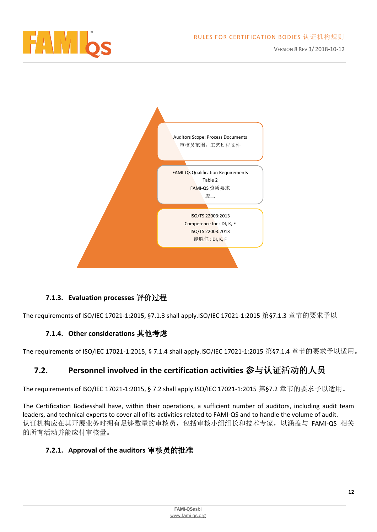



#### **7.1.3. Evaluation processes** 评价过程

<span id="page-11-1"></span><span id="page-11-0"></span>The requirements of ISO/IEC 17021-1:2015, §7.1.3 shall apply.ISO/IEC 17021-1:2015 第§7.1.3 章节的要求予以

#### **7.1.4. Other considerations** 其他考虑

The requirements of ISO/IEC 17021-1:2015, § 7.1.4 shall apply.ISO/IEC 17021-1:2015 第§7.1.4 章节的要求予以适用。

## <span id="page-11-2"></span>**7.2. Personnel involved in the certification activities** 参与认证活动的人员

The requirements of ISO/IEC 17021-1:2015, § 7.2 shall apply.ISO/IEC 17021-1:2015 第§7.2 章节的要求予以适用。

The Certification Bodiesshall have, within their operations, a sufficient number of auditors, including audit team leaders, and technical experts to cover all of its activities related to FAMI-QS and to handle the volume of audit. 认证机构应在其开展业务时拥有足够数量的审核员,包括审核小组组长和技术专家,以涵盖与 FAMI-QS 相关 的所有活动并能应付审核量。

#### <span id="page-11-3"></span>**7.2.1. Approval of the auditors** 审核员的批准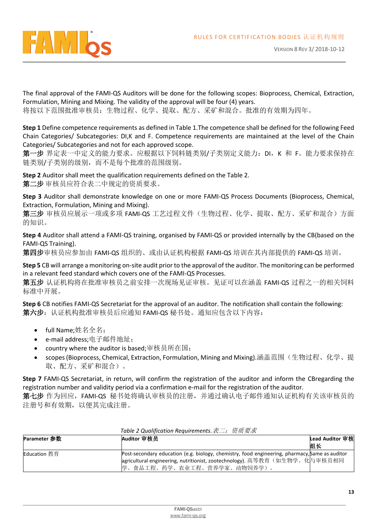

The final approval of the FAMI-QS Auditors will be done for the following scopes: Bioprocess, Chemical, Extraction, Formulation, Mining and Mixing. The validity of the approval will be four (4) years. 将按以下范围批准审核员:生物过程、化学、提取、配方、采矿和混合。批准的有效期为四年。

**Step 1** Define competence requirements as defined in Table 1.The competence shall be defined for the following Feed Chain Categories/ Subcategories: DI,K and F. Competence requirements are maintained at the level of the Chain Categories/ Subcategories and not for each approved scope.

第一步 界定表一中定义的能力要求。应根据以下饲料链类别/子类别定义能力: DI, K 和 F。能力要求保持在 链类别/子类别的级别,而不是每个批准的范围级别。

**Step 2** Auditor shall meet the qualification requirements defined on the Table 2. 第二步 审核员应符合表二中规定的资质要求。

**Step 3** Auditor shall demonstrate knowledge on one or more FAMI-QS Process Documents (Bioprocess, Chemical, Extraction, Formulation, Mining and Mixing).

第三步 审核员应展示一项或多项 FAMI-QS 工艺过程文件(生物过程、化学、提取、配方、采矿和混合)方面 的知识。

**Step 4** Auditor shall attend a FAMI-QS training, organised by FAMI-QS or provided internally by the CB(based on the FAMI-QS Training).

第四步审核员应参加由 FAMI-QS 组织的、或由认证机构根据 FAMI-QS 培训在其内部提供的 FAMI-QS 培训。

**Step 5** CB will arrange a monitoring on-site audit prior to the approval of the auditor. The monitoring can be performed in a relevant feed standard which covers one of the FAMI-QS Processes.

第五步 认证机构将在批准审核员之前安排一次现场见证审核。见证可以在涵盖 FAMI-QS 过程之一的相关饲料 标准中开展。

**Step 6** CB notifies FAMI-QS Secretariat for the approval of an auditor. The notification shall contain the following: 第六步:认证机构批准审核员后应通知 FAMI-QS 秘书处。通知应包含以下内容:

- full Name;姓名全名;
- e-mail address;电子邮件地址;
- country where the auditor is based;审核员所在国;
- scopes (Bioprocess, Chemical, Extraction, Formulation, Mining and Mixing).涵盖范围(生物过程、化学、提 取、配方、采矿和混合)。

**Step 7** FAMI-QS Secretariat, in return, will confirm the registration of the auditor and inform the CBregarding the registration number and validity period via a confirmation e-mail for the registration of the auditor.

第七步作为回应, FAMI-QS 秘书处将确认审核员的注册, 并通过确认电子邮件通知认证机构有关该审核员的 注册号和有效期,以便其完成注册。

| <b>Parameter 参数</b> | Auditor 审核员                                                                                    | Lead Auditor 审核 |  |  |
|---------------------|------------------------------------------------------------------------------------------------|-----------------|--|--|
|                     |                                                                                                | 组长              |  |  |
| <b>Education</b> 教育 | Post-secondary education (e.g. biology, chemistry, food engineering, pharmacy, Same as auditor |                 |  |  |
|                     | agricultural engineering, nutritionist, zootechnology). 高等教育(如生物学、化与审核员相同                      |                 |  |  |
|                     | 学、食品工程、药学、农业工程、营养学家、动物饲养学)。                                                                    |                 |  |  |

*Table 2 Qualification Requirements.*表二:资质要求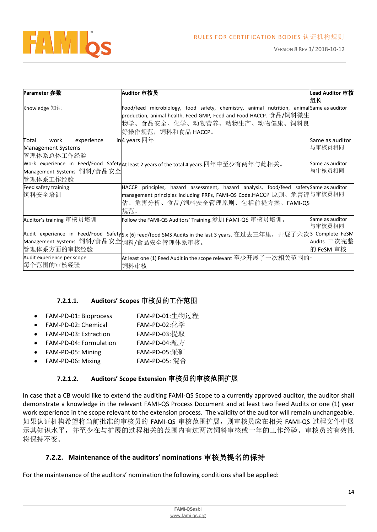

| Parameter 参数                                                           | Auditor 审核员                                                                                                                                                                                                          | Lead Auditor 审核<br>组长     |
|------------------------------------------------------------------------|----------------------------------------------------------------------------------------------------------------------------------------------------------------------------------------------------------------------|---------------------------|
| Knowledge 知识                                                           | Food/feed microbiology, food safety, chemistry, animal nutrition, animalSame as auditor<br>production, animal health, Feed GMP, Feed and Food HACCP. 食品/饲料微生 <br>物学、食品安全、化学、动物营养、动物生产、动物健康、饲料良<br>好操作规范,饲料和食品 HACCP。 |                           |
| Total<br>experience<br>work<br><b>Management Systems</b><br>管理体系总体工作经验 | in $\mu$ years 四年                                                                                                                                                                                                    | Same as auditor<br>与审核员相同 |
| Management Systems 饲料/食品安全<br>管理体系工作经验                                 | Mork experience in Feed/Food Safety At least 2 years of the total 4 years.四年中至少有两年与此相关。                                                                                                                              | Same as auditor<br>与审核员相同 |
| Feed safety training<br>饲料安全培训                                         | HACCP principles, hazard assessment, hazard analysis, food/feed safety Same as auditor<br> management principles including PRPs, FAMI-QS Code.HACCP 原则、危害评与审核员相同<br>估、危害分析、食品/饲料安全管理原则、包括前提方案、FAMI-QS<br>规范。         |                           |
| Auditor's training 审核员培训                                               | Follow the FAMI-QS Auditors' Training.参加 FAMI-QS 审核员培训。                                                                                                                                                              | Same as auditor<br>与审核员相同 |
| Management Systems 饲料/食品安全饲料/食品安全管理体系审核。<br>管理体系方面的审核经验                | Audit experience in Feed/Food Safetysix (6) feed/food SMS Audits in the last 3 years. 在过去三年里,开展了六次β Complete FeSM                                                                                                    | Audits 三次完整<br>的 FeSM 审核  |
| Audit experience per scope<br>每个范围的审核经验                                | At least one (1) Feed Audit in the scope relevant 至少开展了一次相关范围的 -<br>饲料审核                                                                                                                                             |                           |

#### **7.2.1.1. Auditors' Scopes** 审核员的工作范围

- FAM-PD-01: Bioprocess FAM-PD-01:生物过程
- FAM-PD-02: Chemical FAM-PD-02:化学
- FAM-PD-03: Extraction FAM-PD-03:提取
- FAM-PD-04: Formulation FAM-PD-04:配方
- FAM-PD-05: Mining FAM-PD-05:采矿
- FAM-PD-06: Mixing FAM-PD-05: 混合

#### **7.2.1.2. Auditors' Scope Extension** 审核员的审核范围扩展

In case that a CB would like to extend the auditing FAMI-QS Scope to a currently approved auditor, the auditor shall demonstrate a knowledge in the relevant FAMI-QS Process Document and at least two Feed Audits or one (1) year work experience in the scope relevant to the extension process. The validity of the auditor will remain unchangeable. 如果认证机构希望将当前批准的审核员的 FAMI-QS 审核范围扩展,则审核员应在相关 FAMI-QS 过程文件中展 示其知识水平,并至少在与扩展的过程相关的范围内有过两次饲料审核或一年的工作经验。审核员的有效性 将保持不变。

#### **7.2.2. Maintenance of the auditors' nominations** 审核员提名的保持

<span id="page-13-0"></span>For the maintenance of the auditors' nomination the following conditions shall be applied: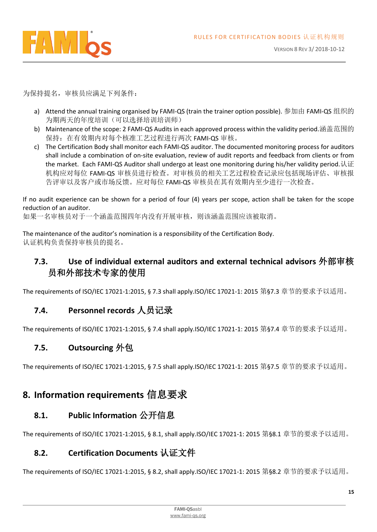

为保持提名,审核员应满足下列条件:

- a) Attend the annual training organised by FAMI-QS (train the trainer option possible). 参加由 FAMI-QS 组织的 为期两天的年度培训(可以选择培训培训师)
- b) Maintenance of the scope: 2 FAMI-QS Audits in each approved process within the validity period.涵盖范围的 保持:在有效期内对每个核准工艺过程进行两次 FAMI-QS 审核。
- c) The Certification Body shall monitor each FAMI-QS auditor. The documented monitoring process for auditors shall include a combination of on-site evaluation, review of audit reports and feedback from clients or from the market. Each FAMI-QS Auditor shall undergo at least one monitoring during his/her validity period.认证 机构应对每位 FAMI-QS 审核员进行检查。对审核员的相关工艺过程检查记录应包括现场评估、审核报 告评审以及客户或市场反馈。应对每位 FAMI-QS 审核员在其有效期内至少进行一次检查。

If no audit experience can be shown for a period of four (4) years per scope, action shall be taken for the scope reduction of an auditor.

如果一名审核员对于一个涵盖范围四年内没有开展审核,则该涵盖范围应该被取消。

The maintenance of the auditor's nomination is a responsibility of the Certification Body. 认证机构负责保持审核员的提名。

## <span id="page-14-0"></span>**7.3. Use of individual external auditors and external technical advisors** 外部审核 员和外部技术专家的使用

The requirements of ISO/IEC 17021-1:2015, § 7.3 shall apply.ISO/IEC 17021-1: 2015 第§7.3 章节的要求予以适用。

## <span id="page-14-1"></span>**7.4. Personnel records** 人员记录

The requirements of ISO/IEC 17021-1:2015, § 7.4 shall apply.ISO/IEC 17021-1: 2015 第§7.4 章节的要求予以适用。

## <span id="page-14-2"></span>**7.5. Outsourcing** 外包

The requirements of ISO/IEC 17021-1:2015, § 7.5 shall apply.ISO/IEC 17021-1: 2015 第§7.5 章节的要求予以适用。

# <span id="page-14-3"></span>**8. Information requirements** 信息要求

# <span id="page-14-4"></span>**8.1. Public Information** 公开信息

The requirements of ISO/IEC 17021-1:2015, § 8.1, shall apply.ISO/IEC 17021-1: 2015 第§8.1 章节的要求予以适用。

## <span id="page-14-5"></span>**8.2. Certification Documents** 认证文件

The requirements of ISO/IEC 17021-1:2015, § 8.2, shall apply.ISO/IEC 17021-1: 2015 第§8.2 章节的要求予以适用。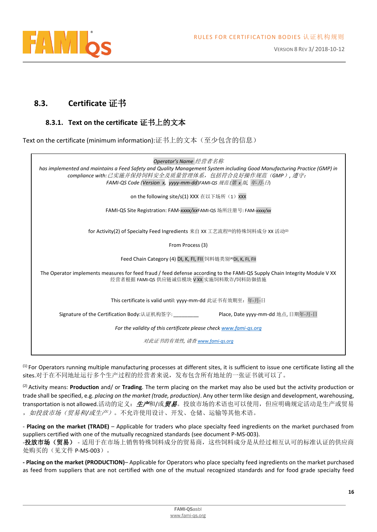

## <span id="page-15-0"></span>**8.3. Certificate** 证书

#### **8.3.1. Text on the certificate** 证书上的文本

<span id="page-15-1"></span>Text on the certificate (minimum information):证书上的文本(至少包含的信息)

*Operator's Name* 经营者名称

*has implemented and maintains a Feed Safety and Quality Management System including Good Manufacturing Practice (GMP) in compliance with:*已实施并保持饲料安全及质量管理体系,包括符合良好操作规范(*GMP*)*,* 遵守: *FAMI-QS Code (Version x, yyyy-mm-dd*)*FAMI-QS* 规范 *(*第 *x* 版*,* 年*-*月*-*日)

on the following site/s(1) XXX 在以下场所(1) XXX

FAMI-QS Site Registration: FAM-*xxxx/xx*FAMI-QS 场所注册号: FAM-*xxxx/xx*

for Activity(2) of Specialty Feed Ingredients 来自 XX 工艺流程<sup>(3)</sup>的特殊饲料成分 XX 活动<sup>(2)</sup>

From Process (3)

Feed Chain Category (4) DI, K, FI, FII 饲料链类别(4)DI, K, FI, FII

The Operator implements measures for feed fraud / feed defense according to the FAMI-QS Supply Chain Integrity Module V XX 经营者根据 FAMI-QS 供应链诚信模块 V XX 实施饲料欺诈/饲料防御措施

This certificate is valid until: yyyy-mm-dd 此证书有效期至: 年-月-日

Signature of the Certification Body:认证机构签字: *\_\_\_\_\_\_\_\_\_* Place, Date yyyy-mm-dd 地点, 日期年-月-日

*For the validity of this certificate please chec[k www.fami-qs.org](http://www.fami-qs.org/)*

对此证书的有效性*,* 请查 *[www.fami-qs.org](http://www.fami-qs.org/)*

 $<sup>(1)</sup>$  For Operators running multiple manufacturing processes at different sites, it is sufficient to issue one certificate listing all the</sup> sites.对于在不同地址运行多个生产过程的经营者来说,发布包含所有地址的一张证书就可以了。

(2) Activity means: **Production** and/ or **Trading**. The term placing on the market may also be used but the activity production or trade shall be specified, e.g. *placing on the market (trade, production)*. Any other term like design and development, warehousing, transportation is not allowed.活动的定义: 生产和/或贸易。投放市场的术语也可以使用, 但应明确规定活动是生产或贸易 ,如投放市场(贸易和*/*或生产)。不允许使用设计、开发、仓储、运输等其他术语。

- **Placing on the market (TRADE)** – Applicable for traders who place specialty feed ingredients on the market purchased from suppliers certified with one of the mutually recognized standards (see document P-MS-003). -投放市场(贸易) - 适用于在市场上销售特殊饲料成分的贸易商,这些饲料成分是从经过相互认可的标准认证的供应商 处购买的(见文件 P-MS-003)。

**- Placing on the market (PRODUCTION)**– Applicable for Operators who place specialty feed ingredients on the market purchased as feed from suppliers that are not certified with one of the mutual recognized standards and for food grade specialty feed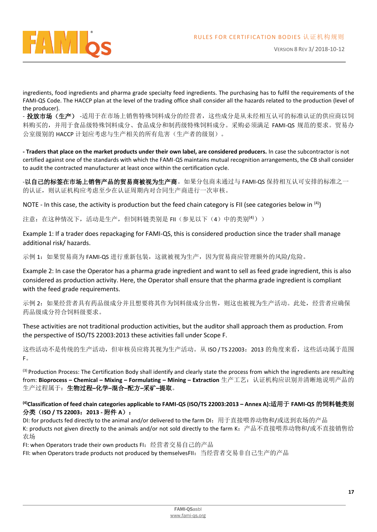

VERSION 8 REV 3/ 2018-10-12

ingredients, food ingredients and pharma grade specialty feed ingredients. The purchasing has to fulfil the requirements of the FAMI-QS Code. The HACCP plan at the level of the trading office shall consider all the hazards related to the production (level of the producer).

- 投放市场(生产) -适用于在市场上销售特殊饲料成分的经营者,这些成分是从未经相互认可的标准认证的供应商以饲 料购买的,并用于食品级特殊饲料成分、食品成分和制药级特殊饲料成分。采购必须满足 FAMI-QS 规范的要求。贸易办 公室级别的 HACCP 计划应考虑与生产相关的所有危害(生产者的级别)。

**- Traders that place on the market products under their own label, are considered producers.** In case the subcontractor is not certified against one of the standards with which the FAMI-QS maintains mutual recognition arrangements, the CB shall consider to audit the contracted manufacturer at least once within the certification cycle.

-以自己的标签在市场上销售产品的贸易商被视为生产商。如果分包商未通过与 FAMI-QS 保持相互认可安排的标准之一 的认证,则认证机构应考虑至少在认证周期内对合同生产商进行一次审核。

NOTE - In this case, the activity is production but the feed chain category is FII (see categories below in  $(4)$ )

注意: 在这种情况下, 活动是生产, 但饲料链类别是 FII (参见以下 (4) 中的类别<sup>(4)</sup>))

Example 1: If a trader does repackaging for FAMI-QS, this is considered production since the trader shall manage additional risk/ hazards.

示例 1: 如果贸易商为 FAMI-QS 进行重新包装,这就被视为生产,因为贸易商应管理额外的风险/危险。

Example 2: In case the Operator has a pharma grade ingredient and want to sell as feed grade ingredient, this is also considered as production activity. Here, the Operator shall ensure that the pharma grade ingredient is compliant with the feed grade requirements.

示例 2: 如果经营者具有药品级成分并且想要将其作为饲料级成分出售,则这也被视为生产活动。此处,经营者应确保 药品级成分符合饲料级要求。

These activities are not traditional production activities, but the auditor shall approach them as production. From the perspective of ISO/TS 22003:2013 these activities fall under Scope F.

这些活动不是传统的生产活动,但审核员应将其视为生产活动。从 ISO / TS 22003: 2013 的角度来看,这些活动属于范围 F。

<sup>(3)</sup> Production Process: The Certification Body shall identify and clearly state the process from which the ingredients are resulting from: **Bioprocess – Chemical – Mixing – Formulating – Mining – Extraction** 生产工艺:认证机构应识别并清晰地说明产品的 生产过程属于:生物过程**–**化学**–**混合**–**配方**–**采矿**–**提取。

**(4)Classification of feed chain categories applicable to FAMI-QS (ISO/TS 22003:2013 – Annex A):**适用于 **FAMI-QS** 的饲料链类别 分类(**ISO / TS 22003**:**2013 -** 附件 **A**):

DI: for products fed directly to the animal and/or delivered to the farm DI:用于直接喂养动物和/或送到农场的产品 K: products not given directly to the animals and/or not sold directly to the farm K: 产品不直接喂养动物和/或不直接销售给 农场

FI: when Operators trade their own products FI: 经营者交易自己的产品

FII: when Operators trade products not produced by themselvesFII: 当经营者交易非自己生产的产品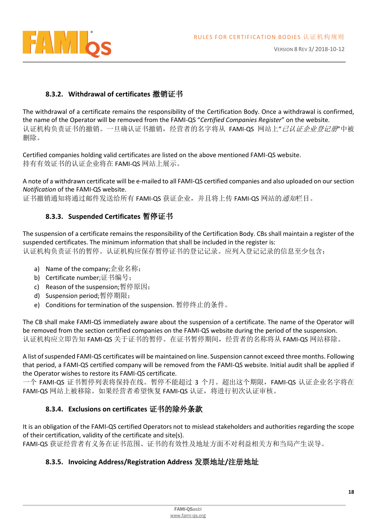

#### **8.3.2. Withdrawal of certificates** 撤销证书

<span id="page-17-0"></span>The withdrawal of a certificate remains the responsibility of the Certification Body. Once a withdrawal is confirmed, the name of the Operator will be removed from the FAMI-QS "*Certified Companies Register*" on the website. 认证机构负责证书的撤销。一旦确认证书撤销,经营者的名字将从 FAMI-QS 网站上"*已认证企业登记册*"中被 删除。

Certified companies holding valid certificates are listed on the above mentioned FAMI-QS website. 持有有效证书的认证企业将在 FAMI-QS 网站上展示。

A note of a withdrawn certificate will be e-mailed to all FAMI-QS certified companies and also uploaded on our section *Notification* of the FAMI-QS website.

<span id="page-17-1"></span>证书撤销通知将通过邮件发送给所有 FAMI-OS 获证企业,并且将上传 FAMI-OS 网站的*通知*栏目。

#### **8.3.3. Suspended Certificates** 暂停证书

The suspension of a certificate remains the responsibility of the Certification Body. CBs shall maintain a register of the suspended certificates. The minimum information that shall be included in the register is: 认证机构负责证书的暂停。认证机构应保存暂停证书的登记记录。应列入登记记录的信息至少包含:

- a) Name of the company;企业名称;
- b) Certificate number;证书编号;
- c) Reason of the suspension;暂停原因;
- d) Suspension period;暂停期限;
- e) Conditions for termination of the suspension. 暂停终止的条件。

The CB shall make FAMI-QS immediately aware about the suspension of a certificate. The name of the Operator will be removed from the section certified companies on the FAMI-QS website during the period of the suspension. 认证机构应立即告知 FAMI-QS 关于证书的暂停。在证书暂停期间, 经营者的名称将从 FAMI-QS 网站移除。

A list of suspended FAMI-QS certificates will be maintained on line. Suspension cannot exceed three months. Following that period, a FAMI-QS certified company will be removed from the FAMI-QS website. Initial audit shall be applied if the Operator wishes to restore its FAMI-QS certificate.

一个 FAMI-QS 证书暂停列表将保持在线。暂停不能超过 3 个月。超出这个期限,FAMI-QS 认证企业名字将在 FAMI-QS 网站上被移除。如果经营者希望恢复 FAMI-QS 认证,将进行初次认证审核。

#### **8.3.4. Exclusions on certificates** 证书的除外条款

<span id="page-17-2"></span>It is an obligation of the FAMI-QS certified Operators not to mislead stakeholders and authorities regarding the scope of their certification, validity of the certificate and site(s).

<span id="page-17-3"></span>FAMI-QS 获证经营者有义务在证书范围、证书的有效性及地址方面不对利益相关方和当局产生误导。

#### **8.3.5. Invoicing Address/Registration Address** 发票地址**/**注册地址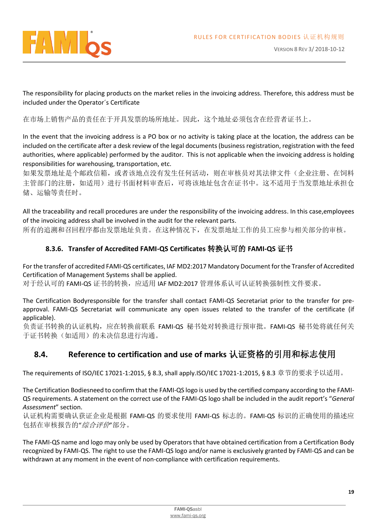

The responsibility for placing products on the market relies in the invoicing address. Therefore, this address must be included under the Operator´s Certificate

在市场上销售产品的责任在于开具发票的场所地址。因此,这个地址必须包含在经营者证书上。

In the event that the invoicing address is a PO box or no activity is taking place at the location, the address can be included on the certificate after a desk review of the legal documents (business registration, registration with the feed authorities, where applicable) performed by the auditor. This is not applicable when the invoicing address is holding responsibilities for warehousing, transportation, etc.

如果发票地址是个邮政信箱,或者该地点没有发生任何活动,则在审核员对其法律文件(企业注册、在饲料 主管部门的注册,如适用)进行书面材料审查后,可将该地址包含在证书中。这不适用于当发票地址承担仓 储、运输等责任时。

All the traceability and recall procedures are under the responsibility of the invoicing address. In this case,employees of the invoicing address shall be involved in the audit for the relevant parts.

<span id="page-18-0"></span>所有的追溯和召回程序都由发票地址负责。在这种情况下,在发票地址工作的员工应参与相关部分的审核。

#### **8.3.6. Transfer of Accredited FAMI-QS Certificates** 转换认可的 **FAMI-QS** 证书

For the transfer of accredited FAMI-QS certificates, IAF MD2:2017 Mandatory Document for the Transfer of Accredited Certification of Management Systems shall be applied.

对于经认可的 FAMI-QS 证书的转换, 应适用 IAF MD2:2017 管理体系认可认证转换强制性文件要求。

The Certification Bodyresponsible for the transfer shall contact FAMI-QS Secretariat prior to the transfer for preapproval. FAMI-QS Secretariat will communicate any open issues related to the transfer of the certificate (if applicable).

负责证书转换的认证机构,应在转换前联系 FAMI-QS 秘书处对转换进行预审批。FAMI-QS 秘书处将就任何关 于证书转换(如适用)的未决信息进行沟通。

## <span id="page-18-1"></span>**8.4. Reference to certification and use of marks** 认证资格的引用和标志使用

The requirements of ISO/IEC 17021-1:2015, § 8.3, shall apply.ISO/IEC 17021-1:2015, § 8.3 章节的要求予以适用。

The Certification Bodiesneed to confirm that the FAMI-QS logo is used by the certified company according to the FAMI-QS requirements. A statement on the correct use of the FAMI-QS logo shall be included in the audit report's "*General Assessment*" section.

认证机构需要确认获证企业是根据 FAMI-QS 的要求使用 FAMI-QS 标志的。FAMI-QS 标识的正确使用的描述应 包括在审核报告的"综合评价"部分。

The FAMI-QS name and logo may only be used by Operators that have obtained certification from a Certification Body recognized by FAMI-QS. The right to use the FAMI-QS logo and/or name is exclusively granted by FAMI-QS and can be withdrawn at any moment in the event of non-compliance with certification requirements.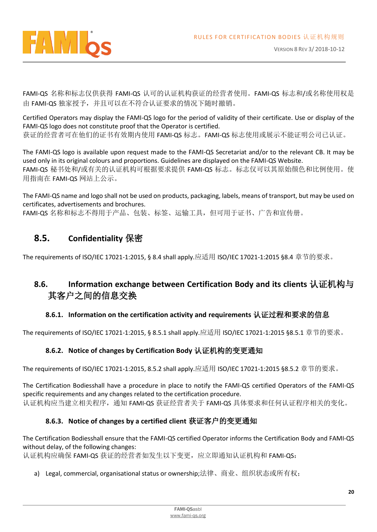

FAMI-QS 名称和标志仅供获得 FAMI-QS 认可的认证机构获证的经营者使用。FAMI-QS 标志和/或名称使用权是 由 FAMI-QS 独家授予,并且可以在不符合认证要求的情况下随时撤销。

Certified Operators may display the FAMI-QS logo for the period of validity of their certificate. Use or display of the FAMI-QS logo does not constitute proof that the Operator is certified. 获证的经营者可在他们的证书有效期内使用 FAMI-QS 标志。FAMI-QS 标志使用或展示不能证明公司已认证。

The FAMI-QS logo is available upon request made to the FAMI-QS Secretariat and/or to the relevant CB. It may be used only in its original colours and proportions. Guidelines are displayed on the FAMI-QS Website. FAMI-QS 秘书处和/或有关的认证机构可根据要求提供 FAMI-QS 标志。标志仅可以其原始颜色和比例使用。使 用指南在 FAMI-QS 网站上公示。

The FAMI-QS name and logo shall not be used on products, packaging, labels, means of transport, but may be used on certificates, advertisements and brochures.

FAMI-QS 名称和标志不得用于产品、包装、标签、运输工具,但可用于证书、广告和宣传册。

## <span id="page-19-0"></span>**8.5. Confidentiality** 保密

The requirements of ISO/IEC 17021-1:2015, § 8.4 shall apply.应适用 ISO/IEC 17021-1:2015 §8.4 章节的要求。

# <span id="page-19-1"></span>**8.6. Information exchange between Certification Body and its clients** 认证机构与 其客户之间的信息交换

#### **8.6.1. Information on the certification activity and requirements** 认证过程和要求的信息

<span id="page-19-3"></span><span id="page-19-2"></span>The requirements of ISO/IEC 17021-1:2015, § 8.5.1 shall apply.应适用 ISO/IEC 17021-1:2015 §8.5.1 章节的要求。

#### **8.6.2. Notice of changes by Certification Body** 认证机构的变更通知

The requirements of ISO/IEC 17021-1:2015, 8.5.2 shall apply.应适用 ISO/IEC 17021-1:2015 §8.5.2 章节的要求。

The Certification Bodiesshall have a procedure in place to notify the FAMI-QS certified Operators of the FAMI-QS specific requirements and any changes related to the certification procedure. 认证机构应当建立相关程序,通知 FAMI-QS 获证经营者关于 FAMI-QS 具体要求和任何认证程序相关的变化。

#### **8.6.3. Notice of changes by a certified client** 获证客户的变更通知

<span id="page-19-4"></span>The Certification Bodiesshall ensure that the FAMI-QS certified Operator informs the Certification Body and FAMI-QS without delay, of the following changes:

认证机构应确保 FAMI-QS 获证的经营者如发生以下变更,应立即通知认证机构和 FAMI-QS:

a) Legal, commercial, organisational status or ownership;法律、商业、组织状态或所有权;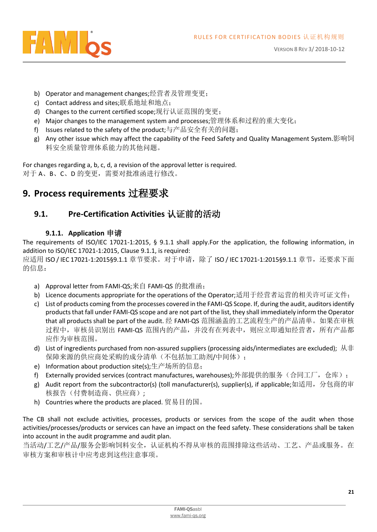

- b) Operator and management changes;经营者及管理变更;
- c) Contact address and sites;联系地址和地点;
- d) Changes to the current certified scope;现行认证范围的变更;
- e) Major changes to the management system and processes;管理体系和过程的重大变化;
- f) Issues related to the safety of the product;与产品安全有关的问题;
- g) Any other issue which may affect the capability of the Feed Safety and Quality Management System.影响饲 料安全质量管理体系能力的其他问题。

For changes regarding a, b, c, d, a revision of the approval letter is required. 对于 A、B、C、D 的变更, 需要对批准函进行修改。

# <span id="page-20-0"></span>**9. Process requirements** 过程要求

# <span id="page-20-1"></span>**9.1. Pre-Certification Activities** 认证前的活动

#### **9.1.1. Application** 申请

<span id="page-20-2"></span>The requirements of ISO/IEC 17021-1:2015, § 9.1.1 shall apply.For the application, the following information, in addition to ISO/IEC 17021-1:2015, Clause 9.1.1, is required:

应适用 ISO / IEC 17021-1:2015§9.1.1 章节要求。对于申请,除了 ISO / IEC 17021-1:2015§9.1.1 章节,还要求下面 的信息:

- a) Approval letter from FAMI-QS;来自 FAMI-QS 的批准函;
- b) Licence documents appropriate for the operations of the Operator;适用于经营者运营的相关许可证文件;
- c) List of products coming from the processes covered in the FAMI-QS Scope. If, during the audit, auditors identify products that fall under FAMI-QS scope and are not part of the list, they shall immediately inform the Operator that all products shall be part of the audit. 经 FAMI-QS 范围涵盖的工艺流程生产的产品清单。如果在审核 过程中,审核员识别出 FAMI-QS 范围内的产品,并没有在列表中,则应立即通知经营者,所有产品都 应作为审核范围。
- d) List of ingredients purchased from non-assured suppliers (processing aids/intermediates are excluded); 从非 保障来源的供应商处采购的成分清单(不包括加工助剂/中间体);
- e) Information about production site(s);生产场所的信息;
- f) Externally provided services (contract manufactures, warehouses);外部提供的服务(合同工厂,仓库);
- g) Audit report from the subcontractor(s) (toll manufacturer(s), supplier(s), if applicable;如适用,分包商的审 核报告(付费制造商、供应商);
- h) Countries where the products are placed. 贸易目的国。

The CB shall not exclude activities, processes, products or services from the scope of the audit when those activities/processes/products or services can have an impact on the feed safety. These considerations shall be taken into account in the audit programme and audit plan.

当活动/工艺/产品/服务会影响饲料安全,认证机构不得从审核的范围排除这些活动、工艺、产品或服务。在 审核方案和审核计中应考虑到这些注意事项。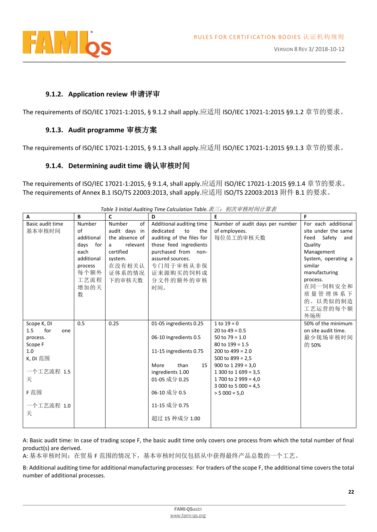

#### **9.1.2. Application review** 申请评审

<span id="page-21-1"></span><span id="page-21-0"></span>The requirements of ISO/IEC 17021-1:2015, § 9.1.2 shall apply.应适用 ISO/IEC 17021-1:2015 §9.1.2 章节的要求。

#### **9.1.3. Audit programme** 审核方案

<span id="page-21-2"></span>The requirements of ISO/IEC 17021-1:2015, § 9.1.3 shall apply.应适用 ISO/IEC 17021-1:2015 §9.1.3 章节的要求。

#### **9.1.4. Determining audit time** 确认审核时间

The requirements of ISO/IEC 17021-1:2015, § 9.1.4, shall apply.应适用 ISO/IEC 17021-1:2015 §9.1.4 章节的要求。 The requirements of Annex B.1 ISO/TS 22003:2013, shall apply.应适用 ISO/TS 22003:2013 附件 B.1 的要求。

| A                 | B          | $\mathbf{C}$   | D                         | E                               | F.                  |
|-------------------|------------|----------------|---------------------------|---------------------------------|---------------------|
| Basic audit time  | Number     | Number<br>of   | Additional auditing time  | Number of audit days per number | For each additional |
| 基本审核时间            | of         | audit days in  | dedicated<br>to<br>the    | of employees.                   | site under the same |
|                   | additional | the absence of | auditing of the files for | 每位员工的审核天数                       | Feed Safety<br>and  |
|                   | days for   | relevant<br>a  | those feed ingredients    |                                 | Quality             |
|                   | each       | certified      | purchased from<br>non-    |                                 | Management          |
|                   | additional | system.        | assured sources.          |                                 | System, operating a |
|                   | process    | 在没有相关认         | 专门用于审核从非保                 |                                 | similar             |
|                   | 每个额外       | 证体系的情况         | 证来源购买的饲料成                 |                                 | manufacturing       |
|                   | 工艺流程       | 下的审核天数         | 分文件的额外的审核                 |                                 | process.            |
|                   | 增加的天       |                | 时间。                       |                                 | 在同一饲料安全和            |
|                   | 数          |                |                           |                                 | 质量管理体系下             |
|                   |            |                |                           |                                 | 的、以类似的制造            |
|                   |            |                |                           |                                 | 工艺运营的每个额            |
|                   |            |                |                           |                                 | 外场所                 |
| Scope K, DI       | 0.5        | 0.25           | 01-05 ingredients 0.25    | 1 to $19 = 0$                   | 50% of the minimum  |
| 1.5<br>for<br>one |            |                |                           | 20 to $49 = 0.5$                | on site audit time. |
| process.          |            |                | 06-10 Ingredients 0.5     | 50 to $79 = 1.0$                | 最少现场审核时间            |
| Scope F           |            |                |                           | $80$ to $199 = 1.5$             | 的 50%               |
| 1.0               |            |                | 11-15 ingredients 0.75    | 200 to $499 = 2.0$              |                     |
| K, DI 范围          |            |                |                           | 500 to $899 = 2.5$              |                     |
|                   |            |                | More<br>than<br>15        | $900$ to 1 299 = 3,0            |                     |
| 一个工艺流程 1.5        |            |                | ingredients 1.00          | 1 300 to 1 699 = 3,5            |                     |
| 天                 |            |                | 01-05 成分 0.25             | 1 700 to 2 999 = 4,0            |                     |
|                   |            |                |                           | 3 000 to 5 000 = 4,5            |                     |
| F 范围              |            |                | 06-10 成分 0.5              | $> 5000 = 5.0$                  |                     |
|                   |            |                | 11-15 成分 0.75             |                                 |                     |
| 一个工艺流程 1.0        |            |                |                           |                                 |                     |
| 天                 |            |                | 超过 15 种成分 1.00            |                                 |                     |
|                   |            |                |                           |                                 |                     |

*Table 3 Initial Auditing Time Calculation Table.*表三:初次审核时间计算表

A: Basic audit time: In case of trading scope F, the basic audit time only covers one process from which the total number of final product(s) are derived.

A: 基本审核时间:在贸易 F 范围的情况下,基本审核时间仅包括从中获得最终产品总数的一个工艺。

B: Additional auditing time for additional manufacturing processes: For traders of the scope F, the additional time covers the total number of additional processes.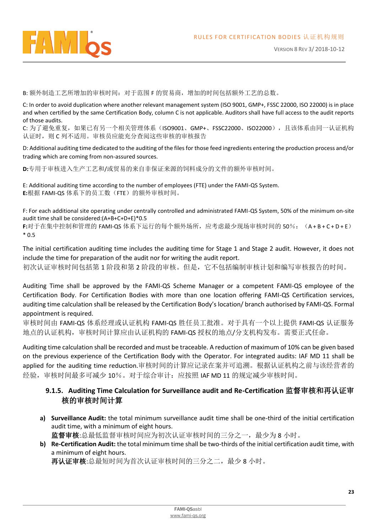

B: 额外制造工艺所增加的审核时间:对于范围 F 的贸易商,增加的时间包括额外工艺的总数。

C: In order to avoid duplication where another relevant management system (ISO 9001, GMP+, FSSC 22000, ISO 22000) is in place and when certified by the same Certification Body, column C is not applicable. Auditors shall have full access to the audit reports of those audits.

C: 为了避免重复,如果已有另一个相关管理体系(ISO9001、GMP+、FSSC22000、ISO22000),且该体系由同一认证机构 认证时, 则 C 列不适用。审核员应能充分查阅这些审核的审核报告

D: Additional auditing time dedicated to the auditing of the files for those feed ingredients entering the production process and/or trading which are coming from non-assured sources.

**D:**专用于审核进入生产工艺和/或贸易的来自非保证来源的饲料成分的文件的额外审核时间。

E: Additional auditing time according to the number of employees (FTE) under the FAMI-QS System. **E:**根据 FAMI-QS 体系下的员工数(FTE)的额外审核时间。

F: For each additional site operating under centrally controlled and administrated FAMI-QS System, 50% of the minimum on-site audit time shall be considered:(A+B+C+D+E)\*0.5

**F:**对于在集中控制和管理的 FAMI-QS 体系下运行的每个额外场所,应考虑最少现场审核时间的 50%:(A + B + C + D + E) \* 0.5

The initial certification auditing time includes the auditing time for Stage 1 and Stage 2 audit. However, it does not include the time for preparation of the audit nor for writing the audit report.

初次认证审核时间包括第 1 阶段和第 2 阶段的审核。但是,它不包括编制审核计划和编写审核报告的时间。

Auditing Time shall be approved by the FAMI-QS Scheme Manager or a competent FAMI-QS employee of the Certification Body. For Certification Bodies with more than one location offering FAMI-QS Certification services, auditing time calculation shall be released by the Certification Body's location/ branch authorised by FAMI-QS. Formal appointment is required.

审核时间由 FAMI-QS 体系经理或认证机构 FAMI-QS 胜任员工批准。对于具有一个以上提供 FAMI-QS 认证服务 地点的认证机构,审核时间计算应由认证机构的 FAMI-QS 授权的地点/分支机构发布。需要正式任命。

Auditing time calculation shall be recorded and must be traceable. A reduction of maximum of 10% can be given based on the previous experience of the Certification Body with the Operator. For integrated audits: IAF MD 11 shall be applied for the auditing time reduction.审核时间的计算应记录在案并可追溯。根据认证机构之前与该经营者的 经验,审核时间最多可减少 10%。对于综合审计:应按照 IAF MD 11 的规定减少审核时间。

#### <span id="page-22-0"></span>**9.1.5. Auditing Time Calculation for Surveillance audit and Re-Certification** 监督审核和再认证审 核的审核时间计算

- **a) Surveillance Audit:** the total minimum surveillance audit time shall be one-third of the initial certification audit time, with a minimum of eight hours. 监督审核:总最低监督审核时间应为初次认证审核时间的三分之一,最少为 8 小时。
- **b) Re-Certification Audit:** the total minimum time shall be two-thirds of the initial certification audit time, with a minimum of eight hours.

再认证审核:总最短时间为首次认证审核时间的三分之二,最少 8 小时。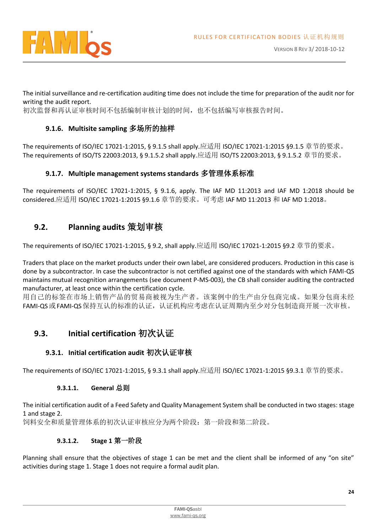

The initial surveillance and re-certification auditing time does not include the time for preparation of the audit nor for writing the audit report.

<span id="page-23-0"></span>初次监督和再认证审核时间不包括编制审核计划的时间,也不包括编写审核报告时间。

#### **9.1.6. Multisite sampling** 多场所的抽样

The requirements of ISO/IEC 17021-1:2015, § 9.1.5 shall apply.应适用 ISO/IEC 17021-1:2015 §9.1.5 章节的要求。 The requirements of ISO/TS 22003:2013, § 9.1.5.2 shall apply.应适用 ISO/TS 22003:2013, § 9.1.5.2 章节的要求。

#### **9.1.7. Multiple management systems standards** 多管理体系标准

<span id="page-23-1"></span>The requirements of ISO/IEC 17021-1:2015, § 9.1.6, apply. The IAF MD 11:2013 and IAF MD 1:2018 should be considered.应适用 ISO/IEC 17021-1:2015 §9.1.6 章节的要求。可考虑 IAF MD 11:2013 和 IAF MD 1:2018。

### <span id="page-23-2"></span>**9.2. Planning audits** 策划审核

The requirements of ISO/IEC 17021-1:2015, § 9.2, shall apply.应适用 ISO/IEC 17021-1:2015 §9.2 章节的要求。

Traders that place on the market products under their own label, are considered producers. Production in this case is done by a subcontractor. In case the subcontractor is not certified against one of the standards with which FAMI-QS maintains mutual recognition arrangements (see document P-MS-003), the CB shall consider auditing the contracted manufacturer, at least once within the certification cycle.

用自己的标签在市场上销售产品的贸易商被视为生产者。该案例中的生产由分包商完成。如果分包商未经 FAMI-QS 或 FAMI-QS 保持互认的标准的认证,认证机构应考虑在认证周期内至少对分包制造商开展一次审核。

## <span id="page-23-3"></span>**9.3. Initial certification** 初次认证

#### **9.3.1. Initial certification audit** 初次认证审核

<span id="page-23-4"></span>The requirements of ISO/IEC 17021-1:2015, § 9.3.1 shall apply.应适用 ISO/IEC 17021-1:2015 §9.3.1 章节的要求。

#### **9.3.1.1. General** 总则

The initial certification audit of a Feed Safety and Quality Management System shall be conducted in two stages: stage 1 and stage 2.

饲料安全和质量管理体系的初次认证审核应分为两个阶段:第一阶段和第二阶段。

#### **9.3.1.2. Stage 1** 第一阶段

Planning shall ensure that the objectives of stage 1 can be met and the client shall be informed of any "on site" activities during stage 1. Stage 1 does not require a formal audit plan.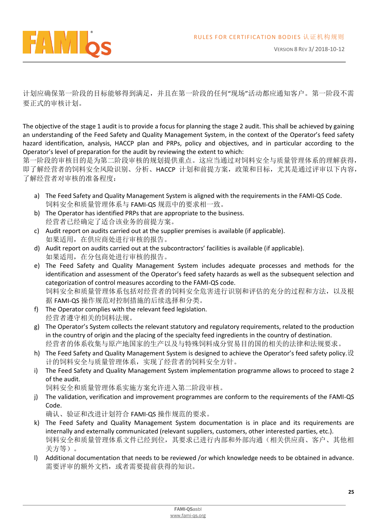

计划应确保第一阶段的目标能够得到满足,并且在第一阶段的任何"现场"活动都应通知客户。第一阶段不需 要正式的审核计划。

The objective of the stage 1 audit is to provide a focus for planning the stage 2 audit. This shall be achieved by gaining an understanding of the Feed Safety and Quality Management System, in the context of the Operator's feed safety hazard identification, analysis, HACCP plan and PRPs, policy and objectives, and in particular according to the Operator's level of preparation for the audit by reviewing the extent to which:

第一阶段的审核目的是为第二阶段审核的规划提供重点。这应当通过对饲料安全与质量管理体系的理解获得, 即了解经营者的饲料安全风险识别、分析、HACCP 计划和前提方案,政策和目标,尤其是通过评审以下内容, 了解经营者对审核的准备程度:

- a) The Feed Safety and Quality Management System is aligned with the requirements in the FAMI-QS Code. 饲料安全和质量管理体系与 FAMI-QS 规范中的要求相一致。
- b) The Operator has identified PRPs that are appropriate to the business. 经营者已经确定了适合该业务的前提方案。
- c) Audit report on audits carried out at the supplier premises is available (if applicable). 如果适用,在供应商处进行审核的报告。
- d) Audit report on audits carried out at the subcontractors' facilities is available (if applicable). 如果适用,在分包商处进行审核的报告。
- e) The Feed Safety and Quality Management System includes adequate processes and methods for the identification and assessment of the Operator's feed safety hazards as well as the subsequent selection and categorization of control measures according to the FAMI-QS code. 饲料安全和质量管理体系包括对经营者的饲料安全危害进行识别和评估的充分的过程和方法,以及根 据 FAMI-QS 操作规范对控制措施的后续选择和分类。
- f) The Operator complies with the relevant feed legislation. 经营者遵守相关的饲料法规。
- g) The Operator's System collects the relevant statutory and regulatory requirements, related to the production in the country of origin and the placing of the specialty feed ingredients in the country of destination. 经营者的体系收集与原产地国家的生产以及与特殊饲料成分贸易目的国的相关的法律和法规要求。
- h) The Feed Safety and Quality Management System is designed to achieve the Operator's feed safety policy.设 计的饲料安全与质量管理体系,实现了经营者的饲料安全方针。
- i) The Feed Safety and Quality Management System implementation programme allows to proceed to stage 2 of the audit.

饲料安全和质量管理体系实施方案允许进入第二阶段审核。

j) The validation, verification and improvement programmes are conform to the requirements of the FAMI-QS Code.

确认、验证和改进计划符合 FAMI-QS 操作规范的要求。

- k) The Feed Safety and Quality Management System documentation is in place and its requirements are internally and externally communicated (relevant suppliers, customers, other interested parties, etc.). 饲料安全和质量管理体系文件已经到位,其要求已进行内部和外部沟通(相关供应商、客户、其他相 关方等)。
- l) Additional documentation that needs to be reviewed /or which knowledge needs to be obtained in advance. 需要评审的额外文档,或者需要提前获得的知识。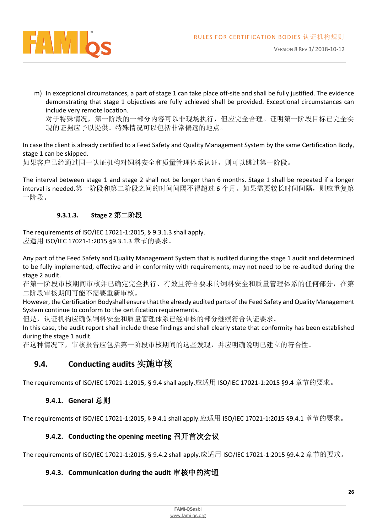

m) In exceptional circumstances, a part of stage 1 can take place off-site and shall be fully justified. The evidence demonstrating that stage 1 objectives are fully achieved shall be provided. Exceptional circumstances can include very remote location.

对于特殊情况,第一阶段的一部分内容可以非现场执行,但应完全合理。证明第一阶段目标已完全实 现的证据应予以提供。特殊情况可以包括非常偏远的地点。

In case the client is already certified to a Feed Safety and Quality Management System by the same Certification Body, stage 1 can be skipped.

如果客户已经通过同一认证机构对饲料安全和质量管理体系认证,则可以跳过第一阶段。

The interval between stage 1 and stage 2 shall not be longer than 6 months. Stage 1 shall be repeated if a longer interval is needed.第一阶段和第二阶段之间的时间间隔不得超过 6 个月。如果需要较长时间间隔, 则应重复第 一阶段。

#### **9.3.1.3. Stage 2** 第二阶段

The requirements of ISO/IEC 17021-1:2015, § 9.3.1.3 shall apply. 应适用 ISO/IEC 17021-1:2015 §9.3.1.3 章节的要求。

Any part of the Feed Safety and Quality Management System that is audited during the stage 1 audit and determined to be fully implemented, effective and in conformity with requirements, may not need to be re-audited during the stage 2 audit.

在第一阶段审核期间审核并已确定完全执行、有效且符合要求的饲料安全和质量管理体系的任何部分,在第 二阶段审核期间可能不需要重新审核。

However, the Certification Bodyshall ensure that the already audited parts of the Feed Safety and Quality Management System continue to conform to the certification requirements.

但是,认证机构应确保饲料安全和质量管理体系已经审核的部分继续符合认证要求。

In this case, the audit report shall include these findings and shall clearly state that conformity has been established during the stage 1 audit.

在这种情况下,审核报告应包括第一阶段审核期间的这些发现,并应明确说明已建立的符合性。

## <span id="page-25-0"></span>**9.4. Conducting audits** 实施审核

<span id="page-25-1"></span>The requirements of ISO/IEC 17021-1:2015, § 9.4 shall apply.应适用 ISO/IEC 17021-1:2015 §9.4 章节的要求。

#### **9.4.1. General** 总则

<span id="page-25-2"></span>The requirements of ISO/IEC 17021-1:2015, § 9.4.1 shall apply.应适用 ISO/IEC 17021-1:2015 §9.4.1 章节的要求。

#### **9.4.2. Conducting the opening meeting** 召开首次会议

<span id="page-25-3"></span>The requirements of ISO/IEC 17021-1:2015, § 9.4.2 shall apply.应适用 ISO/IEC 17021-1:2015 §9.4.2 章节的要求。

#### **9.4.3. Communication during the audit** 审核中的沟通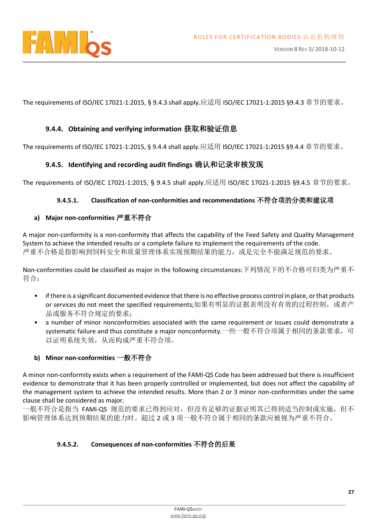

The requirements of ISO/IEC 17021-1:2015, § 9.4.3 shall apply.应适用 ISO/IEC 17021-1:2015 §9.4.3 章节的要求。

#### **9.4.4. Obtaining and verifying information** 获取和验证信息

<span id="page-26-1"></span><span id="page-26-0"></span>The requirements of ISO/IEC 17021-1:2015, § 9.4.4 shall apply.应适用 ISO/IEC 17021-1:2015 §9.4.4 章节的要求。

#### **9.4.5. Identifying and recording audit findings** 确认和记录审核发现

The requirements of ISO/IEC 17021-1:2015, § 9.4.5 shall apply.应适用 ISO/IEC 17021-1:2015 §9.4.5 章节的要求。

#### **9.4.5.1. Classification of non-conformities and recommendations** 不符合项的分类和建议项

#### <span id="page-26-2"></span>**a) Major non-conformities** 严重不符合

A major non-conformity is a non-conformity that affects the capability of the Feed Safety and Quality Management System to achieve the intended results or a complete failure to implement the requirements of the code. 严重不合格是指影响到饲料安全和质量管理体系实现预期结果的能力,或是完全不能满足规范的要求。

Non-conformities could be classified as major in the following circumstances:下列情况下的不合格可归类为严重不 符合:

- if there is a significant documented evidence that there is no effective process control in place, or that products or services do not meet the specified requirements;如果有明显的证据表明没有有效的过程控制, 或者产 品或服务不符合规定的要求;
- a number of minor nonconformities associated with the same requirement or issues could demonstrate a systematic failure and thus constitute a major nonconformity.一些一般不符合项属于相同的条款要求,可 以证明系统失效,从而构成严重不符合项。

#### <span id="page-26-3"></span>**b) Minor non-conformities** 一般不符合

A minor non-conformity exists when a requirement of the FAMI-QS Code has been addressed but there is insufficient evidence to demonstrate that it has been properly controlled or implemented, but does not affect the capability of the management system to achieve the intended results. More than 2 or 3 minor non-conformities under the same clause shall be considered as major.

一般不符合是指当 FAMI-QS 规范的要求已得到应对,但没有足够的证据证明其已得到适当控制或实施,但不 影响管理体系达到预期结果的能力时。超过 2 或 3 项一般不符合属于相同的条款应被视为严重不符合。

#### **9.4.5.2. Consequences of non-conformities** 不符合的后果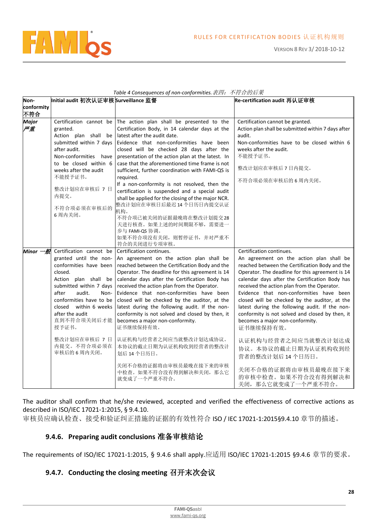

|                      |                                                                                                                                                                                                                                             | Table $\rightarrow$ consequences by non-conjoinnales. $\mathcal{W} \rightarrow \mathcal{W}$                                                                                                                                                                                                                                                                                                                                                                                                                                                                                                                                                                                                                                              |                                                                                                                                                                                                                                                                                                                                                                                                                                                                                                                              |
|----------------------|---------------------------------------------------------------------------------------------------------------------------------------------------------------------------------------------------------------------------------------------|------------------------------------------------------------------------------------------------------------------------------------------------------------------------------------------------------------------------------------------------------------------------------------------------------------------------------------------------------------------------------------------------------------------------------------------------------------------------------------------------------------------------------------------------------------------------------------------------------------------------------------------------------------------------------------------------------------------------------------------|------------------------------------------------------------------------------------------------------------------------------------------------------------------------------------------------------------------------------------------------------------------------------------------------------------------------------------------------------------------------------------------------------------------------------------------------------------------------------------------------------------------------------|
| Non-                 | Initial audit 初次认证审核 Surveillance 监督                                                                                                                                                                                                        |                                                                                                                                                                                                                                                                                                                                                                                                                                                                                                                                                                                                                                                                                                                                          | Re-certification audit 再认证审核                                                                                                                                                                                                                                                                                                                                                                                                                                                                                                 |
| conformity           |                                                                                                                                                                                                                                             |                                                                                                                                                                                                                                                                                                                                                                                                                                                                                                                                                                                                                                                                                                                                          |                                                                                                                                                                                                                                                                                                                                                                                                                                                                                                                              |
| 不符合                  |                                                                                                                                                                                                                                             |                                                                                                                                                                                                                                                                                                                                                                                                                                                                                                                                                                                                                                                                                                                                          |                                                                                                                                                                                                                                                                                                                                                                                                                                                                                                                              |
| Major<br>严重          | granted.<br>submitted within 7 days<br>after audit.<br>Non-conformities have<br>to be closed within 6<br>weeks after the audit<br>不能授予证书。<br>整改计划应在审核后 7 日<br>内提交。<br>不符合项必须在审核后的<br>6周内关闭。                                                 | Certification cannot be The action plan shall be presented to the<br>Certification Body, in 14 calendar days at the<br>Action plan shall be latest after the audit date.<br>Evidence that non-conformities have been<br>closed will be checked 28 days after the<br>presentation of the action plan at the latest. In<br>case that the aforementioned time frame is not<br>sufficient, further coordination with FAMI-QS is<br>required.<br>If a non-conformity is not resolved, then the<br>certification is suspended and a special audit<br>shall be applied for the closing of the major NCR.<br>整改计划应在审核日后最迟 14 个日历日内提交认证<br>机构。<br>不符合项已被关闭的证据最晚将在整改计划提交28<br>天进行核查。如果上述的时间期限不够,需要进一<br>步与 FAMI-QS 协调。<br>如果不符合项没有关闭, 则暂停证书, 并对严重不 | Certification cannot be granted.<br>Action plan shall be submitted within 7 days after<br>audit.<br>Non-conformities have to be closed within 6<br>weeks after the audit.<br>不能授予证书。<br>整改计划应在审核后 7 日内提交。<br>不符合项必须在审核后的6周内关闭。                                                                                                                                                                                                                                                                                               |
|                      |                                                                                                                                                                                                                                             | 符合的关闭进行专项审核。                                                                                                                                                                                                                                                                                                                                                                                                                                                                                                                                                                                                                                                                                                                             |                                                                                                                                                                                                                                                                                                                                                                                                                                                                                                                              |
| Minor $-\mathscr{H}$ | Certification cannot be Certification continues.<br>closed.<br>Action plan shall be<br>submitted within 7 days<br>after<br>audit.<br>Non-<br>conformities have to be<br>closed<br>within 6 weeks<br>after the audit<br>直到不符合项关闭后才能<br>授予证书。 | granted until the non- An agreement on the action plan shall be<br>conformities have been   reached between the Certification Body and the<br>Operator. The deadline for this agreement is 14<br>calendar days after the Certification Body has<br>received the action plan from the Operator.<br>Evidence that non-conformities have been<br>closed will be checked by the auditor, at the<br>latest during the following audit. If the non-<br>conformity is not solved and closed by then, it<br>becomes a major non-conformity.<br>证书继续保持有效。                                                                                                                                                                                         | Certification continues.<br>An agreement on the action plan shall be<br>reached between the Certification Body and the<br>Operator. The deadline for this agreement is 14<br>calendar days after the Certification Body has<br>received the action plan from the Operator.<br>Evidence that non-conformities have been<br>closed will be checked by the auditor, at the<br>latest during the following audit. If the non-<br>conformity is not solved and closed by then, it<br>becomes a major non-conformity.<br>证书继续保持有效。 |
|                      | 整改计划应在审核后 7 日<br>内提交。不符合项必须在<br>审核后的 6 周内关闭。                                                                                                                                                                                                | 认证机构与经营者之间应当就整改计划达成协议。<br>本协议的截止日期为认证机构收到经营者的整改计<br>划后 14 个日历日。                                                                                                                                                                                                                                                                                                                                                                                                                                                                                                                                                                                                                                                                          | 认证机构与经营者之间应当就整改计划达成<br>协议。本协议的截止日期为认证机构收到经<br>营者的整改计划后14个日历日。                                                                                                                                                                                                                                                                                                                                                                                                                                                                |
|                      |                                                                                                                                                                                                                                             | 关闭不合格的证据将由审核员最晚在接下来的审核<br>中检查。如果不符合没有得到解决和关闭, 那么它<br>就变成了一个严重不符合。                                                                                                                                                                                                                                                                                                                                                                                                                                                                                                                                                                                                                                                                        | 关闭不合格的证据将由审核员最晚在接下来<br>的审核中检查。如果不符合没有得到解决和<br>关闭,那么它就变成了一个严重不符合。                                                                                                                                                                                                                                                                                                                                                                                                                                                             |

*Table 4 Consequences of non-conformities.*表四:不符合的后果

The auditor shall confirm that he/she reviewed, accepted and verified the effectiveness of corrective actions as described in ISO/IEC 17021-1:2015, § 9.4.10.

<span id="page-27-0"></span>审核员应确认检查、接受和验证纠正措施的证据的有效性符合 ISO / IEC 17021-1:2015§9.4.10 章节的描述。

#### **9.4.6. Preparing audit conclusions** 准备审核结论

<span id="page-27-1"></span>The requirements of ISO/IEC 17021-1:2015, § 9.4.6 shall apply.应适用 ISO/IEC 17021-1:2015 §9.4.6 章节的要求。

#### **9.4.7. Conducting the closing meeting** 召开末次会议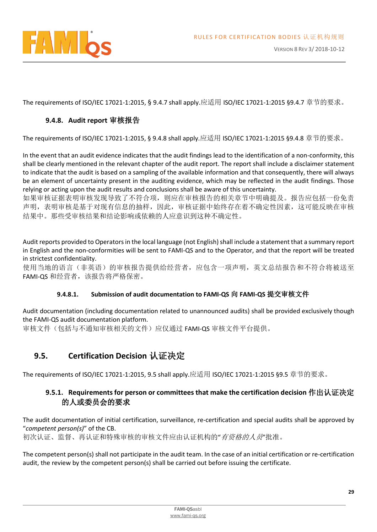

<span id="page-28-0"></span>The requirements of ISO/IEC 17021-1:2015, § 9.4.7 shall apply.应适用 ISO/IEC 17021-1:2015 §9.4.7 章节的要求。

#### **9.4.8. Audit report** 审核报告

The requirements of ISO/IEC 17021-1:2015, § 9.4.8 shall apply.应适用 ISO/IEC 17021-1:2015 §9.4.8 章节的要求。

In the event that an audit evidence indicates that the audit findings lead to the identification of a non-conformity, this shall be clearly mentioned in the relevant chapter of the audit report. The report shall include a disclaimer statement to indicate that the audit is based on a sampling of the available information and that consequently, there will always be an element of uncertainty present in the auditing evidence, which may be reflected in the audit findings. Those relying or acting upon the audit results and conclusions shall be aware of this uncertainty.

如果审核证据表明审核发现导致了不符合项,则应在审核报告的相关章节中明确提及。报告应包括一份免责 声明,表明审核是基于对现有信息的抽样,因此,审核证据中始终存在着不确定性因素,这可能反映在审核 结果中。那些受审核结果和结论影响或依赖的人应意识到这种不确定性。

Audit reports provided to Operators in the local language (not English) shall include a statement that a summary report in English and the non-conformities will be sent to FAMI-QS and to the Operator, and that the report will be treated in strictest confidentiality.

使用当地的语言(非英语)的审核报告提供给经营者,应包含一项声明,英文总结报告和不符合将被送至 FAMI-OS 和经营者, 该报告将严格保密。

#### **9.4.8.1. Submission of audit documentation to FAMI-QS** 向 **FAMI-QS** 提交审核文件

Audit documentation (including documentation related to unannounced audits) shall be provided exclusively though the FAMI-QS audit documentation platform.

审核文件(包括与不通知审核相关的文件)应仅通过 FAMI-QS 审核文件平台提供。

## <span id="page-28-1"></span>**9.5. Certification Decision** 认证决定

<span id="page-28-2"></span>The requirements of ISO/IEC 17021-1:2015, 9.5 shall apply.应适用 ISO/IEC 17021-1:2015 §9.5 章节的要求。

#### **9.5.1. Requirements for person or committees that make the certification decision** 作出认证决定 的人或委员会的要求

The audit documentation of initial certification, surveillance, re-certification and special audits shall be approved by "*competent person(s)*" of the CB.

初次认证、监督、再认证和特殊审核的审核文件应由认证机构的"*有资格的人员*"批准。

The competent person(s) shall not participate in the audit team. In the case of an initial certification or re-certification audit, the review by the competent person(s) shall be carried out before issuing the certificate.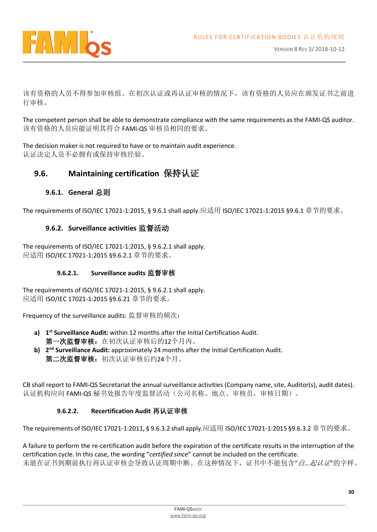

该有资格的人员不得参加审核组。在初次认证或再认证审核的情况下,该有资格的人员应在颁发证书之前进 行审核。

The competent person shall be able to demonstrate compliance with the same requirements as the FAMI-QS auditor. 该有资格的人员应能证明其符合 FAMI-QS 审核员相同的要求。

The decision maker is not required to have or to maintain audit experience. 认证决定人员不必拥有或保持审核经验。

# <span id="page-29-0"></span>**9.6. Maintaining certification** 保持认证

#### **9.6.1. General** 总则

<span id="page-29-2"></span><span id="page-29-1"></span>The requirements of ISO/IEC 17021-1:2015, § 9.6.1 shall apply.应适用 ISO/IEC 17021-1:2015 §9.6.1 章节的要求。

#### **9.6.2. Surveillance activities** 监督活动

The requirements of ISO/IEC 17021-1:2015, § 9.6.2.1 shall apply. 应适用 ISO/IEC 17021-1:2015 §9.6.2.1 章节的要求。

#### **9.6.2.1. Surveillance audits** 监督审核

The requirements of ISO/IEC 17021-1:2015, § 9.6.2.1 shall apply. 应适用 ISO/IEC 17021-1:2015 §9.6.21 章节的要求。

Frequency of the surveillance audits: 监督审核的频次:

- **a) 1 st Surveillance Audit:** within 12 months after the Initial Certification Audit. 第一次监督审核: 在初次认证审核后的12个月内。
- b) 2<sup>nd</sup> Surveillance Audit: approximately 24 months after the Initial Certification Audit. 第二次监督审核:初次认证审核后约24个月。

CB shall report to FAMI-QS Secretariat the annual surveillance activities (Company name, site, Auditor(s), audit dates). 认证机构应向 FAMI-QS 秘书处报告年度监督活动(公司名称、地点、审核员,审核日期)。

#### **9.6.2.2. Recertification Audit** 再认证审核

The requirements of ISO/IEC 17021-1:2011, § 9.6.3.2 shall apply.应适用 ISO/IEC 17021-1:2015 §9.6.3.2 章节的要求。

A failure to perform the re-certification audit before the expiration of the certificate results in the interruption of the certification cycle. In this case, the wording "*certified since*" cannot be included on the certificate. 未能在证书到期前执行再认证审核会导致认证周期中断。在这种情况下,证书中不能包含"自*…*起认证"的字样。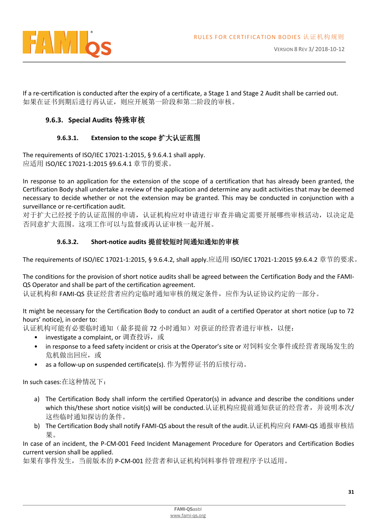

If a re-certification is conducted after the expiry of a certificate, a Stage 1 and Stage 2 Audit shall be carried out. 如果在证书到期后进行再认证,则应开展第一阶段和第二阶段的审核。

#### <span id="page-30-0"></span>**9.6.3. Special Audits** 特殊审核

#### **9.6.3.1. Extension to the scope** 扩大认证范围

The requirements of ISO/IEC 17021-1:2015, § 9.6.4.1 shall apply. 应适用 ISO/IEC 17021-1:2015 §9.6.4.1 章节的要求。

In response to an application for the extension of the scope of a certification that has already been granted, the Certification Body shall undertake a review of the application and determine any audit activities that may be deemed necessary to decide whether or not the extension may be granted. This may be conducted in conjunction with a surveillance or re-certification audit.

对于扩大已经授予的认证范围的申请,认证机构应对申请进行审查并确定需要开展哪些审核活动,以决定是 否同意扩大范围。这项工作可以与监督或再认证审核一起开展。

#### **9.6.3.2. Short-notice audits** 提前较短时间通知通知的审核

The requirements of ISO/IEC 17021-1:2015, § 9.6.4.2, shall apply.应适用 ISO/IEC 17021-1:2015 §9.6.4.2 章节的要求。

The conditions for the provision of short notice audits shall be agreed between the Certification Body and the FAMI-QS Operator and shall be part of the certification agreement.

认证机构和 FAMI-QS 获证经营者应约定临时通知审核的规定条件,应作为认证协议约定的一部分。

It might be necessary for the Certification Body to conduct an audit of a certified Operator at short notice (up to 72 hours' notice), in order to:

认证机构可能有必要临时通知(最多提前 72 小时通知)对获证的经营者进行审核,以便:

- investigate a complaint, or 调查投诉,或
- in response to a feed safety incident or crisis at the Operator's site or 对饲料安全事件或经营者现场发生的 危机做出回应,或
- as a follow-up on suspended certificate(s). 作为暂停证书的后续行动。

In such cases:在这种情况下:

- a) The Certification Body shall inform the certified Operator(s) in advance and describe the conditions under which this/these short notice visit(s) will be conducted.认证机构应提前通知获证的经营者,并说明本次/ 这些临时通知探访的条件。
- b) The Certification Body shall notify FAMI-QS about the result of the audit.认证机构应向 FAMI-QS 通报审核结 果。

In case of an incident, the P-CM-001 Feed Incident Management Procedure for Operators and Certification Bodies current version shall be applied.

如果有事件发生,当前版本的 P-CM-001 经营者和认证机构饲料事件管理程序予以适用。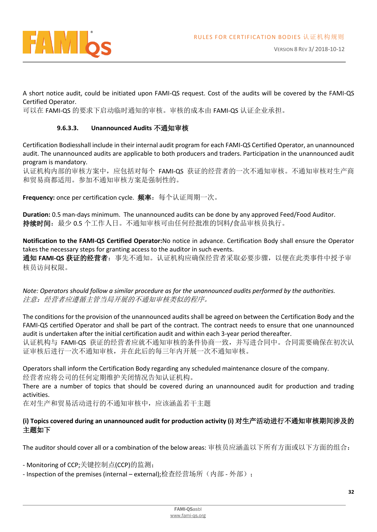

A short notice audit, could be initiated upon FAMI-QS request. Cost of the audits will be covered by the FAMI-QS Certified Operator.

可以在 FAMI-QS 的要求下启动临时通知的审核。审核的成本由 FAMI-QS 认证企业承担。

#### **9.6.3.3. Unannounced Audits** 不通知审核

Certification Bodiesshall include in their internal audit program for each FAMI-QS Certified Operator, an unannounced audit. The unannounced audits are applicable to both producers and traders. Participation in the unannounced audit program is mandatory.

认证机构内部的审核方案中,应包括对每个 FAMI-QS 获证的经营者的一次不通知审核。不通知审核对生产商 和贸易商都适用。参加不通知审核方案是强制性的。

**Frequency:** once per certification cycle. 频率:每个认证周期一次。

**Duration:** 0.5 man-days minimum. The unannounced audits can be done by any approved Feed/Food Auditor. 持续时间:最少 0.5 个工作人日。不通知审核可由任何经批准的饲料/食品审核员执行。

**Notification to the FAMI-QS Certified Operator:**No notice in advance. Certification Body shall ensure the Operator takes the necessary steps for granting access to the auditor in such events. 通知 **FAMI-QS** 获证的经营者:事先不通知。认证机构应确保经营者采取必要步骤,以便在此类事件中授予审 核员访问权限。

*Note: Operators should follow a similar procedure as for the unannounced audits performed by the authorities.*  注意:经营者应遵循主管当局开展的不通知审核类似的程序。

The conditions for the provision of the unannounced audits shall be agreed on between the Certification Body and the FAMI-QS certified Operator and shall be part of the contract. The contract needs to ensure that one unannounced audit is undertaken after the initial certification audit and within each 3-year period thereafter.

认证机构与 FAMI-QS 获证的经营者应就不通知审核的条件协商一致,并写进合同中。合同需要确保在初次认 证审核后进行一次不通知审核,并在此后的每三年内开展一次不通知审核。

Operators shall inform the Certification Body regarding any scheduled maintenance closure of the company. 经营者应将公司的任何定期维护关闭情况告知认证机构。

There are a number of topics that should be covered during an unannounced audit for production and trading activities.

在对生产和贸易活动进行的不通知审核中,应该涵盖若干主题

#### **(i) Topics covered during an unannounced audit for production activity (i)** 对生产活动进行不通知审核期间涉及的 主题如下

The auditor should cover all or a combination of the below areas: 审核员应涵盖以下所有方面或以下方面的组合:

- Monitoring of CCP;关键控制点(CCP)的监测;

- Inspection of the premises (internal – external);检查经营场所(内部 - 外部);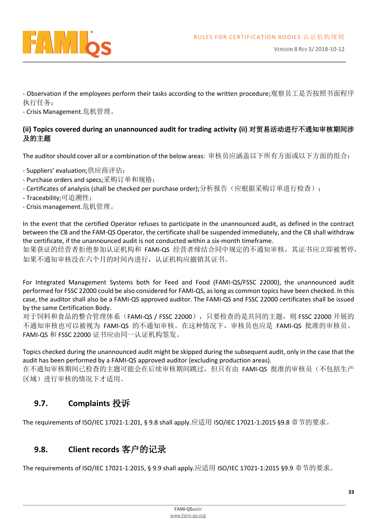

- Observation if the employees perform their tasks according to the written procedure;观察员工是否按照书面程序 执行任务;

- Crisis Management.危机管理。

#### <span id="page-32-0"></span>**(ii) Topics covered during an unannounced audit for trading activity (ii)** 对贸易活动进行不通知审核期间涉 及的主题

The auditor should cover all or a combination of the below areas: 审核员应涵盖以下所有方面或以下方面的组合:

- Suppliers' evaluation;供应商评估;
- Purchase orders and specs;采购订单和规格;
- Certificates of analysis (shall be checked per purchase order);分析报告(应根据采购订单进行检查);
- Traceability;可追溯性;
- Crisis management.危机管理。

In the event that the certified Operator refuses to participate in the unannounced audit, as defined in the contract between the CB and the FAM-QS Operator, the certificate shall be suspended immediately, and the CB shall withdraw the certificate, if the unannounced audit is not conducted within a six-month timeframe.

如果获证的经营者拒绝参加认证机构和 FAMI-QS 经营者缔结合同中规定的不通知审核,其证书应立即被暂停, 如果不通知审核没在六个月的时间内进行,认证机构应撤销其证书。

For Integrated Management Systems both for Feed and Food (FAMI-QS/FSSC 22000), the unannounced audit performed for FSSC 22000 could be also considered for FAMI-QS, as long as common topics have been checked. In this case, the auditor shall also be a FAMI-QS approved auditor. The FAMI-QS and FSSC 22000 certificates shall be issued by the same Certification Body.

对于饲料和食品的整合管理体系(FAMI-QS / FSSC 22000), 只要检查的是共同的主题, 则 FSSC 22000 开展的 不通知审核也可以被视为 FAMI-QS 的不通知审核。在这种情况下,审核员也应是 FAMI-QS 批准的审核员。 FAMI-QS 和 FSSC 22000 证书应由同一认证机构签发。

Topics checked during the unannounced audit might be skipped during the subsequent audit, only in the case that the audit has been performed by a FAMI-QS approved auditor (excluding production areas).

在不通知审核期间已检查的主题可能会在后续审核期间跳过,但只有由 FAMI-QS 批准的审核员(不包括生产 区域)进行审核的情况下才适用。

# <span id="page-32-1"></span>**9.7. Complaints** 投诉

The requirements of ISO/IEC 17021-1:201, § 9.8 shall apply.应适用 ISO/IEC 17021-1:2015 §9.8 章节的要求。

## <span id="page-32-2"></span>**9.8. Client records** 客户的记录

The requirements of ISO/IEC 17021-1:2015, § 9.9 shall apply.应适用 ISO/IEC 17021-1:2015 §9.9 章节的要求。